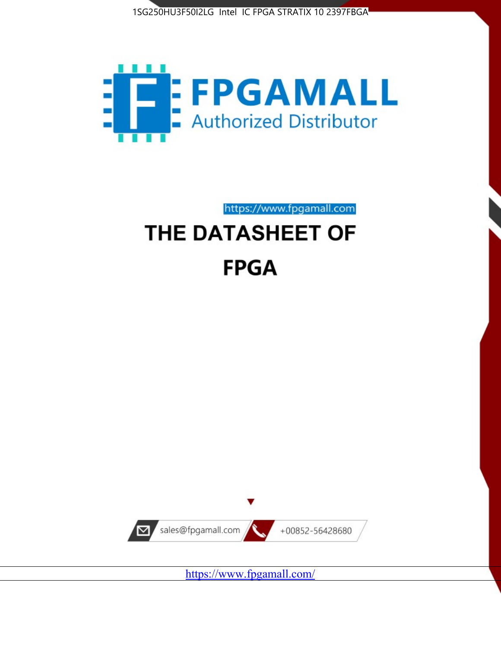



https://www.fpgamall.com

# THE DATASHEET OF **FPGA**



<https://www.fpgamall.com/>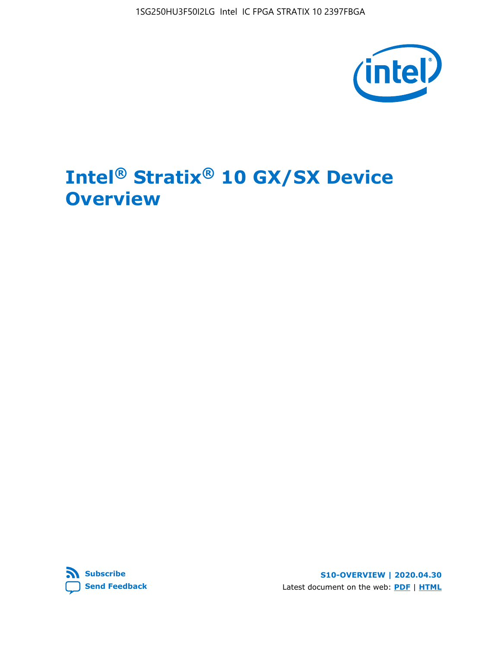

# **Intel® Stratix® 10 GX/SX Device Overview**



**S10-OVERVIEW | 2020.04.30** Latest document on the web: **[PDF](https://www.intel.com/content/dam/www/programmable/us/en/pdfs/literature/hb/stratix-10/s10-overview.pdf)** | **[HTML](https://www.intel.com/content/www/us/en/programmable/documentation/joc1442261161666.html)**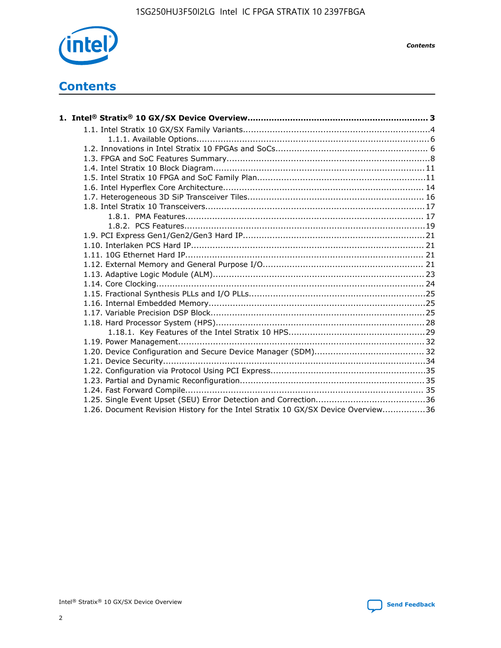

*Contents*

# **Contents**

| 1.26. Document Revision History for the Intel Stratix 10 GX/SX Device Overview36 |  |
|----------------------------------------------------------------------------------|--|

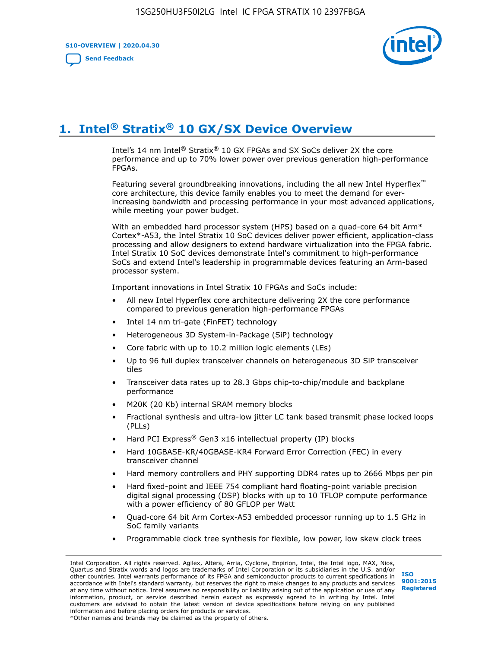**S10-OVERVIEW | 2020.04.30**

**[Send Feedback](mailto:FPGAtechdocfeedback@intel.com?subject=Feedback%20on%20Intel%20Stratix%2010%20GX/SX%20Device%20Overview%20(S10-OVERVIEW%202020.04.30)&body=We%20appreciate%20your%20feedback.%20In%20your%20comments,%20also%20specify%20the%20page%20number%20or%20paragraph.%20Thank%20you.)**



# **1. Intel® Stratix® 10 GX/SX Device Overview**

Intel's 14 nm Intel® Stratix® 10 GX FPGAs and SX SoCs deliver 2X the core performance and up to 70% lower power over previous generation high-performance FPGAs.

Featuring several groundbreaking innovations, including the all new Intel Hyperflex™ core architecture, this device family enables you to meet the demand for everincreasing bandwidth and processing performance in your most advanced applications, while meeting your power budget.

With an embedded hard processor system (HPS) based on a quad-core 64 bit Arm\* Cortex\*-A53, the Intel Stratix 10 SoC devices deliver power efficient, application-class processing and allow designers to extend hardware virtualization into the FPGA fabric. Intel Stratix 10 SoC devices demonstrate Intel's commitment to high-performance SoCs and extend Intel's leadership in programmable devices featuring an Arm-based processor system.

Important innovations in Intel Stratix 10 FPGAs and SoCs include:

- All new Intel Hyperflex core architecture delivering 2X the core performance compared to previous generation high-performance FPGAs
- Intel 14 nm tri-gate (FinFET) technology
- Heterogeneous 3D System-in-Package (SiP) technology
- Core fabric with up to 10.2 million logic elements (LEs)
- Up to 96 full duplex transceiver channels on heterogeneous 3D SiP transceiver tiles
- Transceiver data rates up to 28.3 Gbps chip-to-chip/module and backplane performance
- M20K (20 Kb) internal SRAM memory blocks
- Fractional synthesis and ultra-low jitter LC tank based transmit phase locked loops (PLLs)
- Hard PCI Express<sup>®</sup> Gen3 x16 intellectual property (IP) blocks
- Hard 10GBASE-KR/40GBASE-KR4 Forward Error Correction (FEC) in every transceiver channel
- Hard memory controllers and PHY supporting DDR4 rates up to 2666 Mbps per pin
- Hard fixed-point and IEEE 754 compliant hard floating-point variable precision digital signal processing (DSP) blocks with up to 10 TFLOP compute performance with a power efficiency of 80 GFLOP per Watt
- Quad-core 64 bit Arm Cortex-A53 embedded processor running up to 1.5 GHz in SoC family variants
- Programmable clock tree synthesis for flexible, low power, low skew clock trees

Intel Corporation. All rights reserved. Agilex, Altera, Arria, Cyclone, Enpirion, Intel, the Intel logo, MAX, Nios, Quartus and Stratix words and logos are trademarks of Intel Corporation or its subsidiaries in the U.S. and/or other countries. Intel warrants performance of its FPGA and semiconductor products to current specifications in accordance with Intel's standard warranty, but reserves the right to make changes to any products and services at any time without notice. Intel assumes no responsibility or liability arising out of the application or use of any information, product, or service described herein except as expressly agreed to in writing by Intel. Intel customers are advised to obtain the latest version of device specifications before relying on any published information and before placing orders for products or services. \*Other names and brands may be claimed as the property of others.

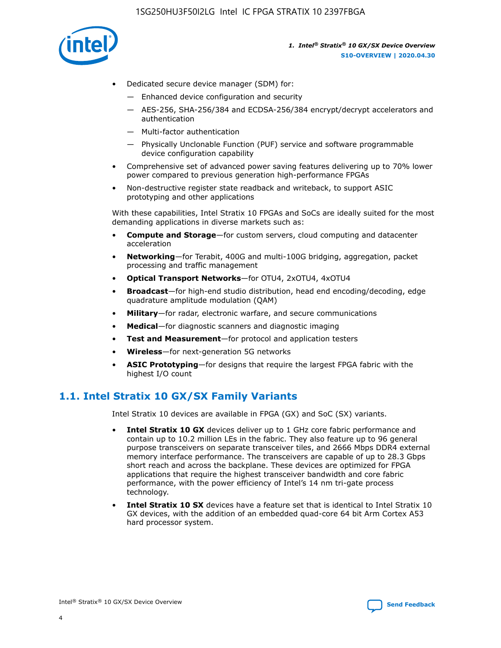

- Dedicated secure device manager (SDM) for:
	- Enhanced device configuration and security
	- AES-256, SHA-256/384 and ECDSA-256/384 encrypt/decrypt accelerators and authentication
	- Multi-factor authentication
	- Physically Unclonable Function (PUF) service and software programmable device configuration capability
- Comprehensive set of advanced power saving features delivering up to 70% lower power compared to previous generation high-performance FPGAs
- Non-destructive register state readback and writeback, to support ASIC prototyping and other applications

With these capabilities, Intel Stratix 10 FPGAs and SoCs are ideally suited for the most demanding applications in diverse markets such as:

- **Compute and Storage**—for custom servers, cloud computing and datacenter acceleration
- **Networking**—for Terabit, 400G and multi-100G bridging, aggregation, packet processing and traffic management
- **Optical Transport Networks**—for OTU4, 2xOTU4, 4xOTU4
- **Broadcast**—for high-end studio distribution, head end encoding/decoding, edge quadrature amplitude modulation (QAM)
- **Military**—for radar, electronic warfare, and secure communications
- **Medical**—for diagnostic scanners and diagnostic imaging
- **Test and Measurement**—for protocol and application testers
- **Wireless**—for next-generation 5G networks
- **ASIC Prototyping**—for designs that require the largest FPGA fabric with the highest I/O count

## **1.1. Intel Stratix 10 GX/SX Family Variants**

Intel Stratix 10 devices are available in FPGA (GX) and SoC (SX) variants.

- **Intel Stratix 10 GX** devices deliver up to 1 GHz core fabric performance and contain up to 10.2 million LEs in the fabric. They also feature up to 96 general purpose transceivers on separate transceiver tiles, and 2666 Mbps DDR4 external memory interface performance. The transceivers are capable of up to 28.3 Gbps short reach and across the backplane. These devices are optimized for FPGA applications that require the highest transceiver bandwidth and core fabric performance, with the power efficiency of Intel's 14 nm tri-gate process technology.
- **Intel Stratix 10 SX** devices have a feature set that is identical to Intel Stratix 10 GX devices, with the addition of an embedded quad-core 64 bit Arm Cortex A53 hard processor system.

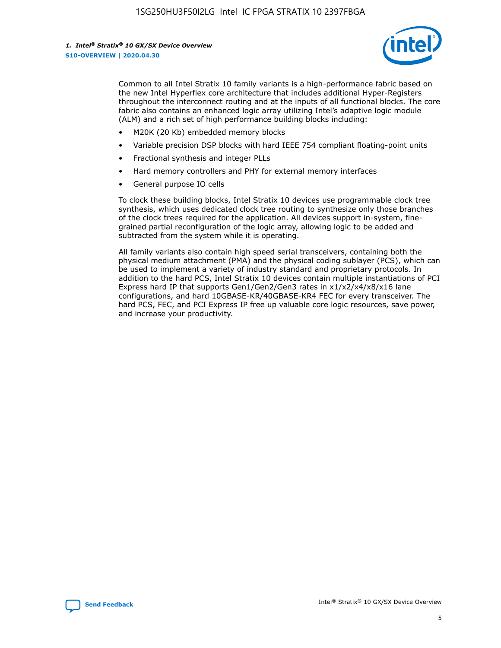

Common to all Intel Stratix 10 family variants is a high-performance fabric based on the new Intel Hyperflex core architecture that includes additional Hyper-Registers throughout the interconnect routing and at the inputs of all functional blocks. The core fabric also contains an enhanced logic array utilizing Intel's adaptive logic module (ALM) and a rich set of high performance building blocks including:

- M20K (20 Kb) embedded memory blocks
- Variable precision DSP blocks with hard IEEE 754 compliant floating-point units
- Fractional synthesis and integer PLLs
- Hard memory controllers and PHY for external memory interfaces
- General purpose IO cells

To clock these building blocks, Intel Stratix 10 devices use programmable clock tree synthesis, which uses dedicated clock tree routing to synthesize only those branches of the clock trees required for the application. All devices support in-system, finegrained partial reconfiguration of the logic array, allowing logic to be added and subtracted from the system while it is operating.

All family variants also contain high speed serial transceivers, containing both the physical medium attachment (PMA) and the physical coding sublayer (PCS), which can be used to implement a variety of industry standard and proprietary protocols. In addition to the hard PCS, Intel Stratix 10 devices contain multiple instantiations of PCI Express hard IP that supports Gen1/Gen2/Gen3 rates in x1/x2/x4/x8/x16 lane configurations, and hard 10GBASE-KR/40GBASE-KR4 FEC for every transceiver. The hard PCS, FEC, and PCI Express IP free up valuable core logic resources, save power, and increase your productivity.

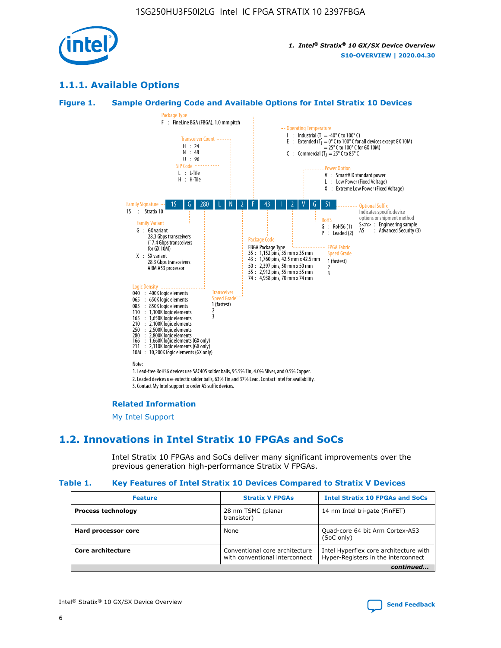

## **1.1.1. Available Options**

### **Figure 1. Sample Ordering Code and Available Options for Intel Stratix 10 Devices**



## **Related Information**

[My Intel Support](https://www.intel.com/content/www/us/en/programmable/my-intel/mal-home.html)

## **1.2. Innovations in Intel Stratix 10 FPGAs and SoCs**

Intel Stratix 10 FPGAs and SoCs deliver many significant improvements over the previous generation high-performance Stratix V FPGAs.

#### **Table 1. Key Features of Intel Stratix 10 Devices Compared to Stratix V Devices**

| <b>Feature</b>            | <b>Stratix V FPGAs</b>                                           | <b>Intel Stratix 10 FPGAs and SoCs</b>                                        |
|---------------------------|------------------------------------------------------------------|-------------------------------------------------------------------------------|
| <b>Process technology</b> | 28 nm TSMC (planar<br>transistor)                                | 14 nm Intel tri-gate (FinFET)                                                 |
| Hard processor core       | None                                                             | Quad-core 64 bit Arm Cortex-A53<br>(SoC only)                                 |
| Core architecture         | Conventional core architecture<br>with conventional interconnect | Intel Hyperflex core architecture with<br>Hyper-Registers in the interconnect |
|                           |                                                                  | continued                                                                     |

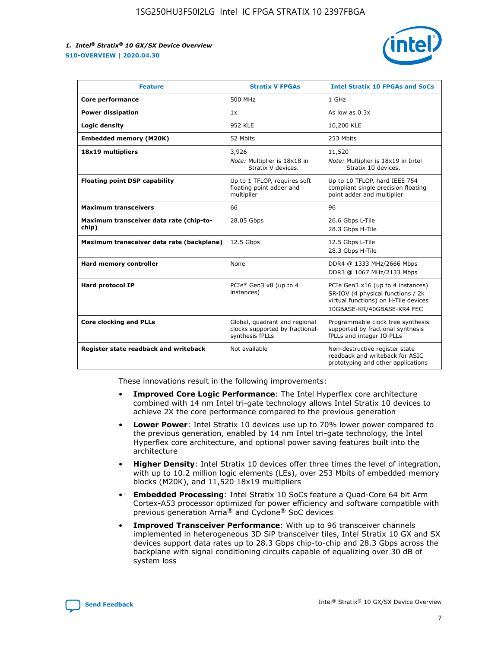

| <b>Feature</b>                                   | <b>Stratix V FPGAs</b>                                                              | <b>Intel Stratix 10 FPGAs and SoCs</b>                                                                                                       |
|--------------------------------------------------|-------------------------------------------------------------------------------------|----------------------------------------------------------------------------------------------------------------------------------------------|
| Core performance                                 | 500 MHz                                                                             | 1 GHz                                                                                                                                        |
| <b>Power dissipation</b>                         | 1x                                                                                  | As low as $0.3x$                                                                                                                             |
| Logic density                                    | 952 KLE                                                                             | 10,200 KLE                                                                                                                                   |
| <b>Embedded memory (M20K)</b>                    | 52 Mbits                                                                            | 253 Mbits                                                                                                                                    |
| 18x19 multipliers                                | 3,926                                                                               | 11,520                                                                                                                                       |
|                                                  | Note: Multiplier is 18x18 in<br>Stratix V devices.                                  | Note: Multiplier is 18x19 in Intel<br>Stratix 10 devices.                                                                                    |
| <b>Floating point DSP capability</b>             | Up to 1 TFLOP, requires soft<br>floating point adder and<br>multiplier              | Up to 10 TFLOP, hard IEEE 754<br>compliant single precision floating<br>point adder and multiplier                                           |
| <b>Maximum transceivers</b>                      | 66                                                                                  | 96                                                                                                                                           |
| Maximum transceiver data rate (chip-to-<br>chip) | 28.05 Gbps                                                                          | 26.6 Gbps L-Tile<br>28.3 Gbps H-Tile                                                                                                         |
| Maximum transceiver data rate (backplane)        | 12.5 Gbps                                                                           | 12.5 Gbps L-Tile<br>28.3 Gbps H-Tile                                                                                                         |
| Hard memory controller                           | None                                                                                | DDR4 @ 1333 MHz/2666 Mbps<br>DDR3 @ 1067 MHz/2133 Mbps                                                                                       |
| <b>Hard protocol IP</b>                          | PCIe* Gen3 x8 (up to 4<br>instances)                                                | PCIe Gen3 x16 (up to 4 instances)<br>SR-IOV (4 physical functions / 2k<br>virtual functions) on H-Tile devices<br>10GBASE-KR/40GBASE-KR4 FEC |
| <b>Core clocking and PLLs</b>                    | Global, quadrant and regional<br>clocks supported by fractional-<br>synthesis fPLLs | Programmable clock tree synthesis<br>supported by fractional synthesis<br>fPLLs and integer IO PLLs                                          |
| Register state readback and writeback            | Not available                                                                       | Non-destructive register state<br>readback and writeback for ASIC<br>prototyping and other applications                                      |

These innovations result in the following improvements:

- **Improved Core Logic Performance**: The Intel Hyperflex core architecture combined with 14 nm Intel tri-gate technology allows Intel Stratix 10 devices to achieve 2X the core performance compared to the previous generation
- **Lower Power**: Intel Stratix 10 devices use up to 70% lower power compared to the previous generation, enabled by 14 nm Intel tri-gate technology, the Intel Hyperflex core architecture, and optional power saving features built into the architecture
- **Higher Density**: Intel Stratix 10 devices offer three times the level of integration, with up to 10.2 million logic elements (LEs), over 253 Mbits of embedded memory blocks (M20K), and 11,520 18x19 multipliers
- **Embedded Processing**: Intel Stratix 10 SoCs feature a Quad-Core 64 bit Arm Cortex-A53 processor optimized for power efficiency and software compatible with previous generation Arria® and Cyclone® SoC devices
- **Improved Transceiver Performance**: With up to 96 transceiver channels implemented in heterogeneous 3D SiP transceiver tiles, Intel Stratix 10 GX and SX devices support data rates up to 28.3 Gbps chip-to-chip and 28.3 Gbps across the backplane with signal conditioning circuits capable of equalizing over 30 dB of system loss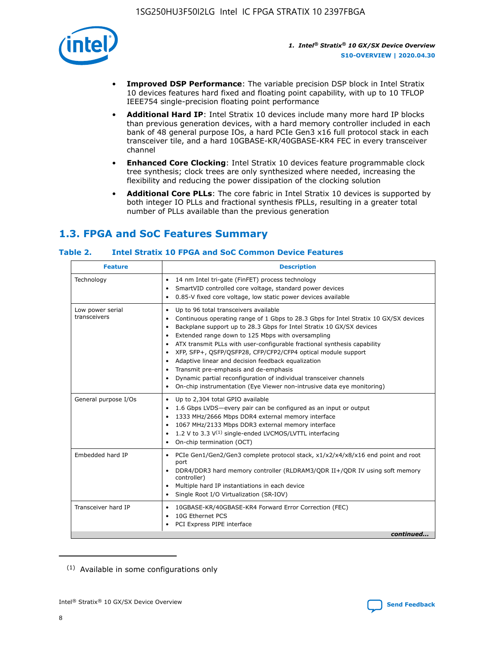

- **Improved DSP Performance**: The variable precision DSP block in Intel Stratix 10 devices features hard fixed and floating point capability, with up to 10 TFLOP IEEE754 single-precision floating point performance
- **Additional Hard IP**: Intel Stratix 10 devices include many more hard IP blocks than previous generation devices, with a hard memory controller included in each bank of 48 general purpose IOs, a hard PCIe Gen3 x16 full protocol stack in each transceiver tile, and a hard 10GBASE-KR/40GBASE-KR4 FEC in every transceiver channel
- **Enhanced Core Clocking**: Intel Stratix 10 devices feature programmable clock tree synthesis; clock trees are only synthesized where needed, increasing the flexibility and reducing the power dissipation of the clocking solution
- **Additional Core PLLs**: The core fabric in Intel Stratix 10 devices is supported by both integer IO PLLs and fractional synthesis fPLLs, resulting in a greater total number of PLLs available than the previous generation

# **1.3. FPGA and SoC Features Summary**

## **Table 2. Intel Stratix 10 FPGA and SoC Common Device Features**

| <b>Feature</b>                   | <b>Description</b>                                                                                                                                                                                                                                                                                                                                                                                                                                                                                                                                                                                                                                                             |
|----------------------------------|--------------------------------------------------------------------------------------------------------------------------------------------------------------------------------------------------------------------------------------------------------------------------------------------------------------------------------------------------------------------------------------------------------------------------------------------------------------------------------------------------------------------------------------------------------------------------------------------------------------------------------------------------------------------------------|
| Technology                       | 14 nm Intel tri-gate (FinFET) process technology<br>٠<br>SmartVID controlled core voltage, standard power devices<br>0.85-V fixed core voltage, low static power devices available                                                                                                                                                                                                                                                                                                                                                                                                                                                                                             |
| Low power serial<br>transceivers | Up to 96 total transceivers available<br>٠<br>Continuous operating range of 1 Gbps to 28.3 Gbps for Intel Stratix 10 GX/SX devices<br>Backplane support up to 28.3 Gbps for Intel Stratix 10 GX/SX devices<br>$\bullet$<br>Extended range down to 125 Mbps with oversampling<br>ATX transmit PLLs with user-configurable fractional synthesis capability<br>٠<br>XFP, SFP+, OSFP/OSFP28, CFP/CFP2/CFP4 optical module support<br>• Adaptive linear and decision feedback equalization<br>Transmit pre-emphasis and de-emphasis<br>Dynamic partial reconfiguration of individual transceiver channels<br>On-chip instrumentation (Eye Viewer non-intrusive data eye monitoring) |
| General purpose I/Os             | Up to 2,304 total GPIO available<br>$\bullet$<br>1.6 Gbps LVDS-every pair can be configured as an input or output<br>1333 MHz/2666 Mbps DDR4 external memory interface<br>1067 MHz/2133 Mbps DDR3 external memory interface<br>• 1.2 V to 3.3 $V^{(1)}$ single-ended LVCMOS/LVTTL interfacing<br>On-chip termination (OCT)                                                                                                                                                                                                                                                                                                                                                     |
| Embedded hard IP                 | • PCIe Gen1/Gen2/Gen3 complete protocol stack, x1/x2/x4/x8/x16 end point and root<br>port<br>DDR4/DDR3 hard memory controller (RLDRAM3/QDR II+/QDR IV using soft memory<br>controller)<br>Multiple hard IP instantiations in each device<br>$\bullet$<br>• Single Root I/O Virtualization (SR-IOV)                                                                                                                                                                                                                                                                                                                                                                             |
| Transceiver hard IP              | 10GBASE-KR/40GBASE-KR4 Forward Error Correction (FEC)<br>$\bullet$<br>10G Ethernet PCS<br>٠<br>PCI Express PIPE interface<br>continued                                                                                                                                                                                                                                                                                                                                                                                                                                                                                                                                         |
|                                  |                                                                                                                                                                                                                                                                                                                                                                                                                                                                                                                                                                                                                                                                                |

<sup>(1)</sup> Available in some configurations only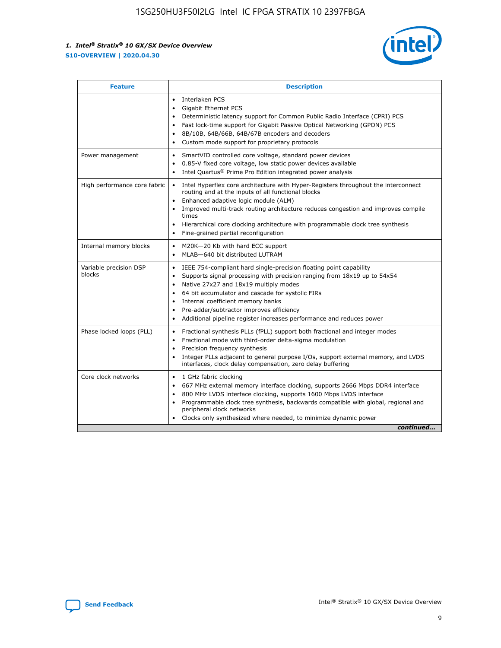

| <b>Feature</b>                   | <b>Description</b>                                                                                                                                                                                                                                                                                                                                                                                                                                            |
|----------------------------------|---------------------------------------------------------------------------------------------------------------------------------------------------------------------------------------------------------------------------------------------------------------------------------------------------------------------------------------------------------------------------------------------------------------------------------------------------------------|
|                                  | Interlaken PCS<br>$\bullet$<br>Gigabit Ethernet PCS<br>$\bullet$<br>Deterministic latency support for Common Public Radio Interface (CPRI) PCS<br>$\bullet$<br>Fast lock-time support for Gigabit Passive Optical Networking (GPON) PCS<br>٠<br>8B/10B, 64B/66B, 64B/67B encoders and decoders<br>Custom mode support for proprietary protocols<br>۰                                                                                                          |
| Power management                 | SmartVID controlled core voltage, standard power devices<br>$\bullet$<br>0.85-V fixed core voltage, low static power devices available<br>$\bullet$<br>Intel Quartus <sup>®</sup> Prime Pro Edition integrated power analysis<br>٠                                                                                                                                                                                                                            |
| High performance core fabric     | Intel Hyperflex core architecture with Hyper-Registers throughout the interconnect<br>routing and at the inputs of all functional blocks<br>Enhanced adaptive logic module (ALM)<br>Improved multi-track routing architecture reduces congestion and improves compile<br>times<br>Hierarchical core clocking architecture with programmable clock tree synthesis<br>$\bullet$<br>Fine-grained partial reconfiguration                                         |
| Internal memory blocks           | M20K-20 Kb with hard ECC support<br>٠<br>MLAB-640 bit distributed LUTRAM<br>$\bullet$                                                                                                                                                                                                                                                                                                                                                                         |
| Variable precision DSP<br>blocks | IEEE 754-compliant hard single-precision floating point capability<br>$\bullet$<br>Supports signal processing with precision ranging from 18x19 up to 54x54<br>$\bullet$<br>Native 27x27 and 18x19 multiply modes<br>٠<br>64 bit accumulator and cascade for systolic FIRs<br>Internal coefficient memory banks<br>Pre-adder/subtractor improves efficiency<br>$\bullet$<br>Additional pipeline register increases performance and reduces power<br>$\bullet$ |
| Phase locked loops (PLL)         | Fractional synthesis PLLs (fPLL) support both fractional and integer modes<br>$\bullet$<br>Fractional mode with third-order delta-sigma modulation<br>Precision frequency synthesis<br>$\bullet$<br>Integer PLLs adjacent to general purpose I/Os, support external memory, and LVDS<br>$\bullet$<br>interfaces, clock delay compensation, zero delay buffering                                                                                               |
| Core clock networks              | 1 GHz fabric clocking<br>٠<br>667 MHz external memory interface clocking, supports 2666 Mbps DDR4 interface<br>$\bullet$<br>800 MHz LVDS interface clocking, supports 1600 Mbps LVDS interface<br>$\bullet$<br>Programmable clock tree synthesis, backwards compatible with global, regional and<br>$\bullet$<br>peripheral clock networks<br>Clocks only synthesized where needed, to minimize dynamic power<br>continued                                    |

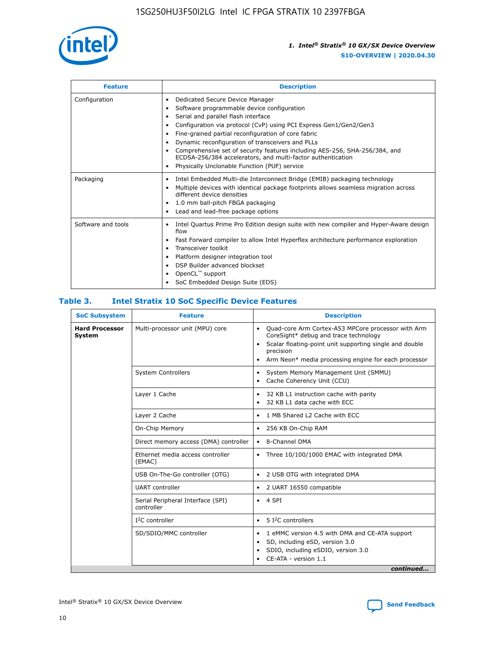

| <b>Feature</b>     | <b>Description</b>                                                                                                                                                                                                                                                                                                                                                                                                                                                                                               |
|--------------------|------------------------------------------------------------------------------------------------------------------------------------------------------------------------------------------------------------------------------------------------------------------------------------------------------------------------------------------------------------------------------------------------------------------------------------------------------------------------------------------------------------------|
| Configuration      | Dedicated Secure Device Manager<br>٠<br>Software programmable device configuration<br>Serial and parallel flash interface<br>Configuration via protocol (CvP) using PCI Express Gen1/Gen2/Gen3<br>Fine-grained partial reconfiguration of core fabric<br>٠<br>Dynamic reconfiguration of transceivers and PLLs<br>٠<br>Comprehensive set of security features including AES-256, SHA-256/384, and<br>ECDSA-256/384 accelerators, and multi-factor authentication<br>Physically Unclonable Function (PUF) service |
| Packaging          | Intel Embedded Multi-die Interconnect Bridge (EMIB) packaging technology<br>٠<br>Multiple devices with identical package footprints allows seamless migration across<br>$\bullet$<br>different device densities<br>1.0 mm ball-pitch FBGA packaging<br>٠<br>Lead and lead-free package options                                                                                                                                                                                                                   |
| Software and tools | Intel Quartus Prime Pro Edition design suite with new compiler and Hyper-Aware design<br>$\bullet$<br>flow<br>Fast Forward compiler to allow Intel Hyperflex architecture performance exploration<br>٠<br>Transceiver toolkit<br>Platform designer integration tool<br>DSP Builder advanced blockset<br>OpenCL <sup>™</sup> support<br>SoC Embedded Design Suite (EDS)                                                                                                                                           |

## **Table 3. Intel Stratix 10 SoC Specific Device Features**

| <b>SoC Subsystem</b>                   | <b>Feature</b>                                  | <b>Description</b>                                                                                                                                                                                                                                                 |
|----------------------------------------|-------------------------------------------------|--------------------------------------------------------------------------------------------------------------------------------------------------------------------------------------------------------------------------------------------------------------------|
| <b>Hard Processor</b><br><b>System</b> | Multi-processor unit (MPU) core                 | Quad-core Arm Cortex-A53 MPCore processor with Arm<br>$\bullet$<br>CoreSight* debug and trace technology<br>Scalar floating-point unit supporting single and double<br>$\bullet$<br>precision<br>Arm Neon* media processing engine for each processor<br>$\bullet$ |
|                                        | <b>System Controllers</b>                       | System Memory Management Unit (SMMU)<br>$\bullet$<br>Cache Coherency Unit (CCU)<br>$\bullet$                                                                                                                                                                       |
|                                        | Layer 1 Cache                                   | 32 KB L1 instruction cache with parity<br>٠<br>32 KB L1 data cache with ECC<br>$\bullet$                                                                                                                                                                           |
|                                        | Layer 2 Cache                                   | 1 MB Shared L2 Cache with ECC<br>$\bullet$                                                                                                                                                                                                                         |
|                                        | On-Chip Memory                                  | 256 KB On-Chip RAM<br>$\bullet$                                                                                                                                                                                                                                    |
|                                        | Direct memory access (DMA) controller           | • 8-Channel DMA                                                                                                                                                                                                                                                    |
|                                        | Ethernet media access controller<br>(EMAC)      | Three 10/100/1000 EMAC with integrated DMA<br>$\bullet$                                                                                                                                                                                                            |
|                                        | USB On-The-Go controller (OTG)                  | 2 USB OTG with integrated DMA<br>$\bullet$                                                                                                                                                                                                                         |
|                                        | <b>UART</b> controller                          | 2 UART 16550 compatible<br>$\bullet$                                                                                                                                                                                                                               |
|                                        | Serial Peripheral Interface (SPI)<br>controller | $\bullet$ 4 SPI                                                                                                                                                                                                                                                    |
|                                        | $I2C$ controller                                | 5 <sup>2</sup> C controllers<br>$\bullet$                                                                                                                                                                                                                          |
|                                        | SD/SDIO/MMC controller                          | 1 eMMC version 4.5 with DMA and CE-ATA support<br>$\bullet$<br>SD, including eSD, version 3.0<br>٠<br>SDIO, including eSDIO, version 3.0<br>CE-ATA - version 1.1<br>continued                                                                                      |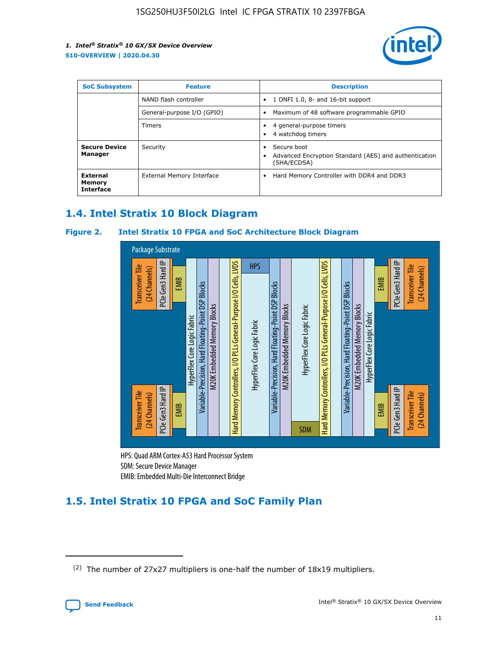

| <b>SoC Subsystem</b>                          | <b>Feature</b>             | <b>Description</b>                                                                                    |  |  |
|-----------------------------------------------|----------------------------|-------------------------------------------------------------------------------------------------------|--|--|
|                                               | NAND flash controller      | 1 ONFI 1.0, 8- and 16-bit support<br>$\bullet$                                                        |  |  |
|                                               | General-purpose I/O (GPIO) | Maximum of 48 software programmable GPIO<br>$\bullet$                                                 |  |  |
|                                               | <b>Timers</b>              | 4 general-purpose timers<br>٠<br>4 watchdog timers<br>٠                                               |  |  |
| <b>Secure Device</b><br>Manager               | Security                   | Secure boot<br>$\bullet$<br>Advanced Encryption Standard (AES) and authentication<br>٠<br>(SHA/ECDSA) |  |  |
| <b>External</b><br>Memory<br><b>Interface</b> | External Memory Interface  | Hard Memory Controller with DDR4 and DDR3<br>$\bullet$                                                |  |  |

## **1.4. Intel Stratix 10 Block Diagram**

## **Figure 2. Intel Stratix 10 FPGA and SoC Architecture Block Diagram**



HPS: Quad ARM Cortex-A53 Hard Processor System SDM: Secure Device Manager

# **1.5. Intel Stratix 10 FPGA and SoC Family Plan**

<sup>(2)</sup> The number of 27x27 multipliers is one-half the number of 18x19 multipliers.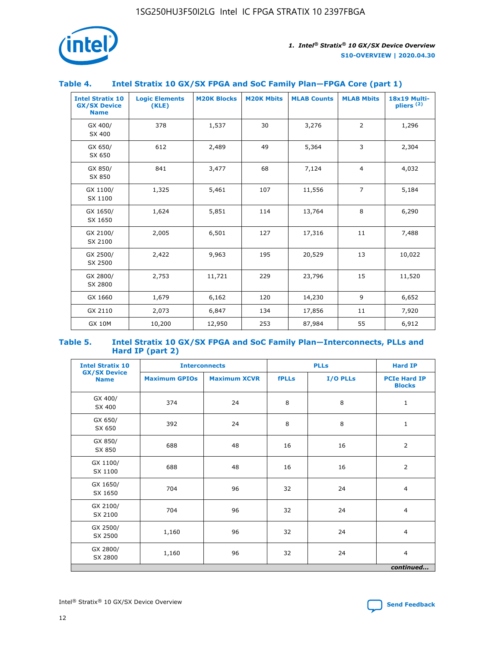

## **Table 4. Intel Stratix 10 GX/SX FPGA and SoC Family Plan—FPGA Core (part 1)**

| <b>Intel Stratix 10</b><br><b>GX/SX Device</b><br><b>Name</b> | <b>Logic Elements</b><br>(KLE) | <b>M20K Blocks</b> | <b>M20K Mbits</b> | <b>MLAB Counts</b> | <b>MLAB Mbits</b> | 18x19 Multi-<br>pliers <sup>(2)</sup> |
|---------------------------------------------------------------|--------------------------------|--------------------|-------------------|--------------------|-------------------|---------------------------------------|
| GX 400/<br>SX 400                                             | 378                            | 1,537              | 30                | 3,276              | $\overline{2}$    | 1,296                                 |
| GX 650/<br>SX 650                                             | 612                            | 2,489              | 49                | 5,364              | 3                 | 2,304                                 |
| GX 850/<br>SX 850                                             | 841                            | 3,477              | 68                | 7,124              | $\overline{4}$    | 4,032                                 |
| GX 1100/<br>SX 1100                                           | 1,325                          | 5,461              | 107               | 11,556             | $\overline{7}$    | 5,184                                 |
| GX 1650/<br>SX 1650                                           | 1,624                          | 5,851              | 114               | 13,764             | 8                 | 6,290                                 |
| GX 2100/<br>SX 2100                                           | 2,005                          | 6,501              | 127               | 17,316             | 11                | 7,488                                 |
| GX 2500/<br>SX 2500                                           | 2,422                          | 9,963              | 195               | 20,529             | 13                | 10,022                                |
| GX 2800/<br>SX 2800                                           | 2,753                          | 11,721             | 229               | 23,796             | 15                | 11,520                                |
| GX 1660                                                       | 1,679                          | 6,162              | 120               | 14,230             | 9                 | 6,652                                 |
| GX 2110                                                       | 2,073                          | 6,847              | 134               | 17,856             | 11                | 7,920                                 |
| <b>GX 10M</b>                                                 | 10,200                         | 12,950             | 253               | 87,984             | 55                | 6,912                                 |

#### **Table 5. Intel Stratix 10 GX/SX FPGA and SoC Family Plan—Interconnects, PLLs and Hard IP (part 2)**

| <b>Intel Stratix 10</b>            |                      | <b>PLLs</b><br><b>Interconnects</b> |              |          | <b>Hard IP</b>                       |  |
|------------------------------------|----------------------|-------------------------------------|--------------|----------|--------------------------------------|--|
| <b>GX/SX Device</b><br><b>Name</b> | <b>Maximum GPIOs</b> | <b>Maximum XCVR</b>                 | <b>fPLLs</b> | I/O PLLs | <b>PCIe Hard IP</b><br><b>Blocks</b> |  |
| GX 400/<br>SX 400                  | 374                  | 24                                  | 8            | 8        | $\mathbf{1}$                         |  |
| GX 650/<br>SX 650                  | 392                  | 24                                  | 8            | 8        | $\mathbf{1}$                         |  |
| GX 850/<br>SX 850                  | 688                  | 48                                  | 16           | 16       | 2                                    |  |
| GX 1100/<br>SX 1100                | 688                  | 48                                  | 16           | 16       | 2                                    |  |
| GX 1650/<br>SX 1650                | 704                  | 96                                  | 32           | 24       | $\overline{4}$                       |  |
| GX 2100/<br>SX 2100                | 704                  | 96                                  | 32           | 24       | $\overline{4}$                       |  |
| GX 2500/<br>SX 2500                | 1,160                | 96                                  | 32           | 24       | $\overline{4}$                       |  |
| GX 2800/<br>SX 2800                | 1,160                | 96                                  | 32           | 24       | $\overline{4}$                       |  |
| continued                          |                      |                                     |              |          |                                      |  |

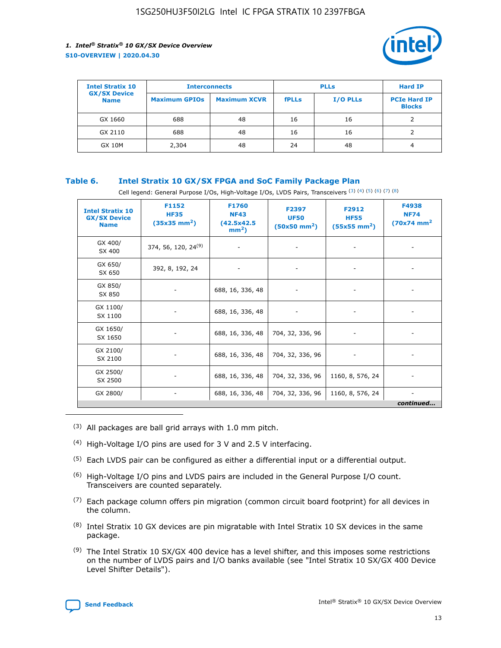

| <b>Intel Stratix 10</b>            | <b>Interconnects</b> |                     | <b>PLLs</b>  |                 | <b>Hard IP</b>                       |
|------------------------------------|----------------------|---------------------|--------------|-----------------|--------------------------------------|
| <b>GX/SX Device</b><br><b>Name</b> | <b>Maximum GPIOs</b> | <b>Maximum XCVR</b> | <b>fPLLs</b> | <b>I/O PLLs</b> | <b>PCIe Hard IP</b><br><b>Blocks</b> |
| GX 1660                            | 688                  | 48                  | 16           | 16              |                                      |
| GX 2110                            | 688                  | 48                  | 16           | 16              |                                      |
| <b>GX 10M</b>                      | 2,304                | 48                  | 24           | 48              | 4                                    |

## **Table 6. Intel Stratix 10 GX/SX FPGA and SoC Family Package Plan**

Cell legend: General Purpose I/Os, High-Voltage I/Os, LVDS Pairs, Transceivers (3) (4) (5) (6) (7) (8)

| <b>Intel Stratix 10</b><br><b>GX/SX Device</b><br><b>Name</b> | F1152<br><b>HF35</b><br>$(35x35 \text{ mm}^2)$ | <b>F1760</b><br><b>NF43</b><br>(42.5x42.5<br>$mm2$ ) | F2397<br><b>UF50</b><br>$(50x50 \text{ mm}^2)$ | F2912<br><b>HF55</b><br>$(55x55 \text{ mm}^2)$ | F4938<br><b>NF74</b><br>$(70x74)$ mm <sup>2</sup> |
|---------------------------------------------------------------|------------------------------------------------|------------------------------------------------------|------------------------------------------------|------------------------------------------------|---------------------------------------------------|
| GX 400/<br>SX 400                                             | 374, 56, 120, 24 <sup>(9)</sup>                | $\overline{\phantom{a}}$                             | $\overline{\phantom{a}}$                       |                                                |                                                   |
| GX 650/<br>SX 650                                             | 392, 8, 192, 24                                | ٠                                                    | $\overline{\phantom{a}}$                       |                                                |                                                   |
| GX 850/<br>SX 850                                             |                                                | 688, 16, 336, 48                                     |                                                |                                                |                                                   |
| GX 1100/<br>SX 1100                                           |                                                | 688, 16, 336, 48                                     |                                                |                                                |                                                   |
| GX 1650/<br>SX 1650                                           |                                                | 688, 16, 336, 48                                     | 704, 32, 336, 96                               |                                                |                                                   |
| GX 2100/<br>SX 2100                                           |                                                | 688, 16, 336, 48                                     | 704, 32, 336, 96                               | -                                              | ۰                                                 |
| GX 2500/<br>SX 2500                                           |                                                | 688, 16, 336, 48                                     | 704, 32, 336, 96                               | 1160, 8, 576, 24                               |                                                   |
| GX 2800/                                                      | $\overline{\phantom{a}}$                       | 688, 16, 336, 48                                     | 704, 32, 336, 96                               | 1160, 8, 576, 24                               | ٠<br>continued                                    |

- (3) All packages are ball grid arrays with 1.0 mm pitch.
- (4) High-Voltage I/O pins are used for 3 V and 2.5 V interfacing.
- $(5)$  Each LVDS pair can be configured as either a differential input or a differential output.
- (6) High-Voltage I/O pins and LVDS pairs are included in the General Purpose I/O count. Transceivers are counted separately.
- $(7)$  Each package column offers pin migration (common circuit board footprint) for all devices in the column.
- $(8)$  Intel Stratix 10 GX devices are pin migratable with Intel Stratix 10 SX devices in the same package.
- $(9)$  The Intel Stratix 10 SX/GX 400 device has a level shifter, and this imposes some restrictions on the number of LVDS pairs and I/O banks available (see "Intel Stratix 10 SX/GX 400 Device Level Shifter Details").

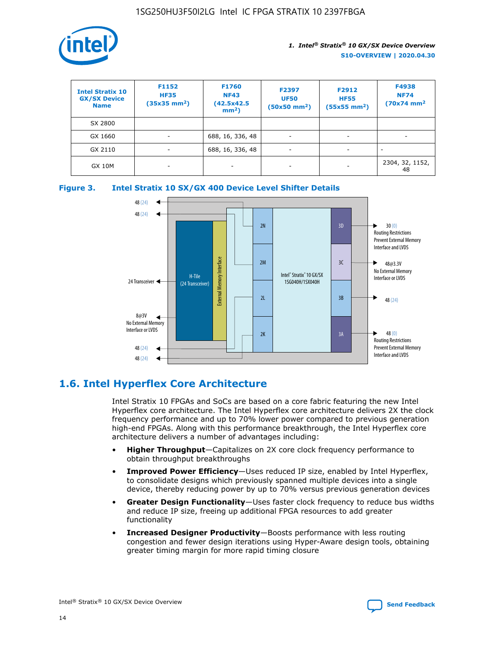

| <b>Intel Stratix 10</b><br><b>GX/SX Device</b><br><b>Name</b> | F1152<br><b>HF35</b><br>$(35x35)$ mm <sup>2</sup> ) | F1760<br><b>NF43</b><br>(42.5x42.5<br>$mm2$ ) | F2397<br><b>UF50</b><br>$(50x50 \text{ mm}^2)$ | F2912<br><b>HF55</b><br>$(55x55$ mm <sup>2</sup> ) | F4938<br><b>NF74</b><br>$(70x74)$ mm <sup>2</sup> |
|---------------------------------------------------------------|-----------------------------------------------------|-----------------------------------------------|------------------------------------------------|----------------------------------------------------|---------------------------------------------------|
| SX 2800                                                       |                                                     |                                               |                                                |                                                    |                                                   |
| GX 1660                                                       | -                                                   | 688, 16, 336, 48                              | $\overline{\phantom{a}}$                       |                                                    |                                                   |
| GX 2110                                                       |                                                     | 688, 16, 336, 48                              | $\overline{\phantom{a}}$                       |                                                    |                                                   |
| <b>GX 10M</b>                                                 | ۰                                                   |                                               |                                                |                                                    | 2304, 32, 1152,<br>48                             |





## **1.6. Intel Hyperflex Core Architecture**

Intel Stratix 10 FPGAs and SoCs are based on a core fabric featuring the new Intel Hyperflex core architecture. The Intel Hyperflex core architecture delivers 2X the clock frequency performance and up to 70% lower power compared to previous generation high-end FPGAs. Along with this performance breakthrough, the Intel Hyperflex core architecture delivers a number of advantages including:

- **Higher Throughput**—Capitalizes on 2X core clock frequency performance to obtain throughput breakthroughs
- **Improved Power Efficiency**—Uses reduced IP size, enabled by Intel Hyperflex, to consolidate designs which previously spanned multiple devices into a single device, thereby reducing power by up to 70% versus previous generation devices
- **Greater Design Functionality**—Uses faster clock frequency to reduce bus widths and reduce IP size, freeing up additional FPGA resources to add greater functionality
- **Increased Designer Productivity**—Boosts performance with less routing congestion and fewer design iterations using Hyper-Aware design tools, obtaining greater timing margin for more rapid timing closure

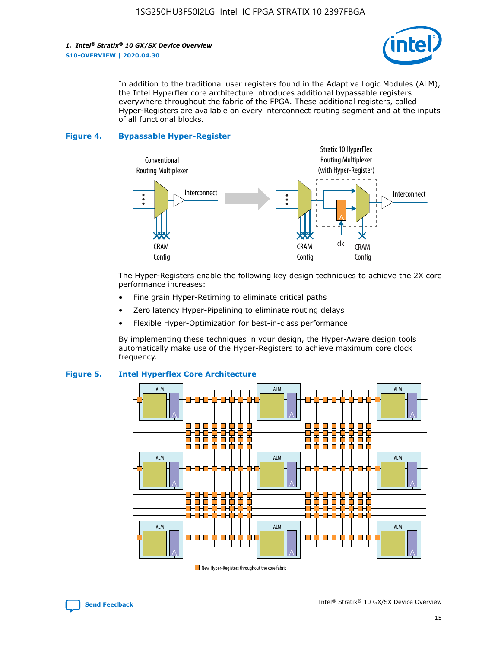

In addition to the traditional user registers found in the Adaptive Logic Modules (ALM), the Intel Hyperflex core architecture introduces additional bypassable registers everywhere throughout the fabric of the FPGA. These additional registers, called Hyper-Registers are available on every interconnect routing segment and at the inputs of all functional blocks.

#### **Figure 4. Bypassable Hyper-Register**



The Hyper-Registers enable the following key design techniques to achieve the 2X core performance increases:

- Fine grain Hyper-Retiming to eliminate critical paths
- Zero latency Hyper-Pipelining to eliminate routing delays
- Flexible Hyper-Optimization for best-in-class performance

By implementing these techniques in your design, the Hyper-Aware design tools automatically make use of the Hyper-Registers to achieve maximum core clock frequency.



## **Figure 5. Intel Hyperflex Core Architecture**

New Hyper-Registers throughout the core fabric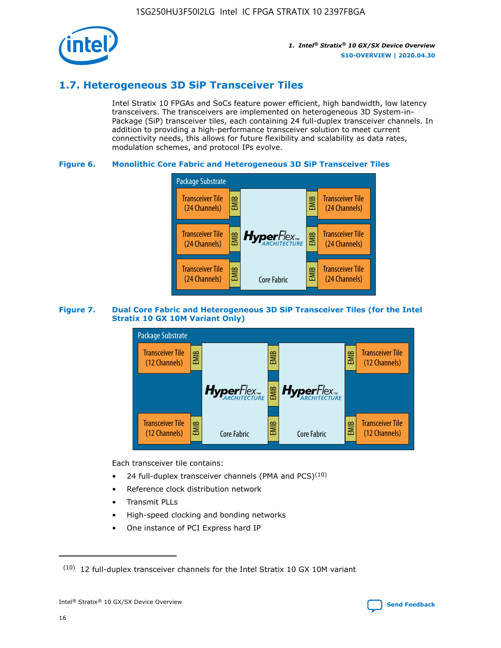

## **1.7. Heterogeneous 3D SiP Transceiver Tiles**

Intel Stratix 10 FPGAs and SoCs feature power efficient, high bandwidth, low latency transceivers. The transceivers are implemented on heterogeneous 3D System-in-Package (SiP) transceiver tiles, each containing 24 full-duplex transceiver channels. In addition to providing a high-performance transceiver solution to meet current connectivity needs, this allows for future flexibility and scalability as data rates, modulation schemes, and protocol IPs evolve.

## **Figure 6. Monolithic Core Fabric and Heterogeneous 3D SiP Transceiver Tiles**



## **Figure 7. Dual Core Fabric and Heterogeneous 3D SiP Transceiver Tiles (for the Intel Stratix 10 GX 10M Variant Only)**



Each transceiver tile contains:

- 24 full-duplex transceiver channels (PMA and PCS) $(10)$
- Reference clock distribution network
- Transmit PLLs
- High-speed clocking and bonding networks
- One instance of PCI Express hard IP

 $(10)$  12 full-duplex transceiver channels for the Intel Stratix 10 GX 10M variant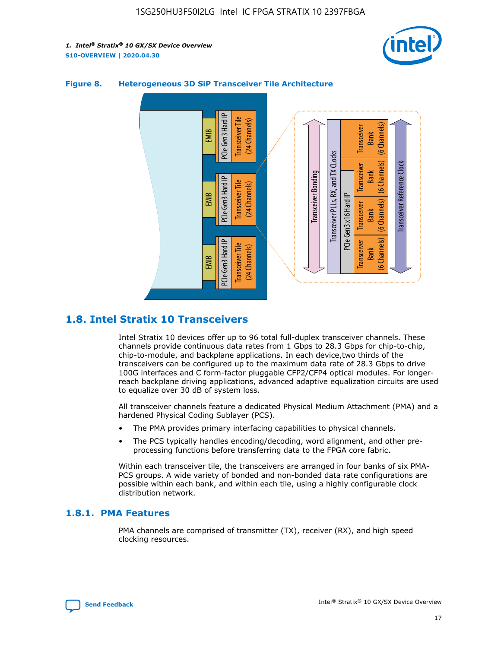



## **Figure 8. Heterogeneous 3D SiP Transceiver Tile Architecture**

## **1.8. Intel Stratix 10 Transceivers**

Intel Stratix 10 devices offer up to 96 total full-duplex transceiver channels. These channels provide continuous data rates from 1 Gbps to 28.3 Gbps for chip-to-chip, chip-to-module, and backplane applications. In each device,two thirds of the transceivers can be configured up to the maximum data rate of 28.3 Gbps to drive 100G interfaces and C form-factor pluggable CFP2/CFP4 optical modules. For longerreach backplane driving applications, advanced adaptive equalization circuits are used to equalize over 30 dB of system loss.

All transceiver channels feature a dedicated Physical Medium Attachment (PMA) and a hardened Physical Coding Sublayer (PCS).

- The PMA provides primary interfacing capabilities to physical channels.
- The PCS typically handles encoding/decoding, word alignment, and other preprocessing functions before transferring data to the FPGA core fabric.

Within each transceiver tile, the transceivers are arranged in four banks of six PMA-PCS groups. A wide variety of bonded and non-bonded data rate configurations are possible within each bank, and within each tile, using a highly configurable clock distribution network.

## **1.8.1. PMA Features**

PMA channels are comprised of transmitter (TX), receiver (RX), and high speed clocking resources.

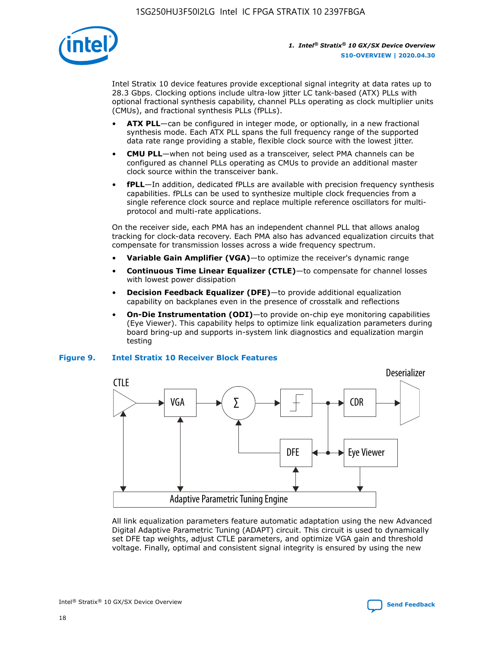

Intel Stratix 10 device features provide exceptional signal integrity at data rates up to 28.3 Gbps. Clocking options include ultra-low jitter LC tank-based (ATX) PLLs with optional fractional synthesis capability, channel PLLs operating as clock multiplier units (CMUs), and fractional synthesis PLLs (fPLLs).

- **ATX PLL**—can be configured in integer mode, or optionally, in a new fractional synthesis mode. Each ATX PLL spans the full frequency range of the supported data rate range providing a stable, flexible clock source with the lowest jitter.
- **CMU PLL**—when not being used as a transceiver, select PMA channels can be configured as channel PLLs operating as CMUs to provide an additional master clock source within the transceiver bank.
- **fPLL**—In addition, dedicated fPLLs are available with precision frequency synthesis capabilities. fPLLs can be used to synthesize multiple clock frequencies from a single reference clock source and replace multiple reference oscillators for multiprotocol and multi-rate applications.

On the receiver side, each PMA has an independent channel PLL that allows analog tracking for clock-data recovery. Each PMA also has advanced equalization circuits that compensate for transmission losses across a wide frequency spectrum.

- **Variable Gain Amplifier (VGA)**—to optimize the receiver's dynamic range
- **Continuous Time Linear Equalizer (CTLE)**—to compensate for channel losses with lowest power dissipation
- **Decision Feedback Equalizer (DFE)**—to provide additional equalization capability on backplanes even in the presence of crosstalk and reflections
- **On-Die Instrumentation (ODI)**—to provide on-chip eye monitoring capabilities (Eye Viewer). This capability helps to optimize link equalization parameters during board bring-up and supports in-system link diagnostics and equalization margin testing

#### **Figure 9. Intel Stratix 10 Receiver Block Features**



All link equalization parameters feature automatic adaptation using the new Advanced Digital Adaptive Parametric Tuning (ADAPT) circuit. This circuit is used to dynamically set DFE tap weights, adjust CTLE parameters, and optimize VGA gain and threshold voltage. Finally, optimal and consistent signal integrity is ensured by using the new

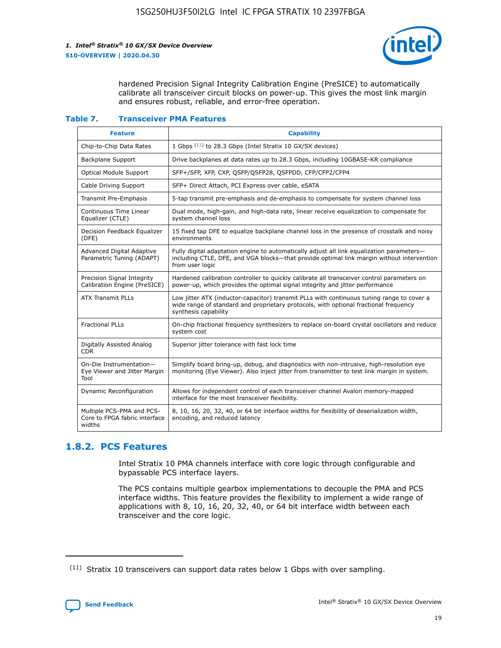

hardened Precision Signal Integrity Calibration Engine (PreSICE) to automatically calibrate all transceiver circuit blocks on power-up. This gives the most link margin and ensures robust, reliable, and error-free operation.

#### **Table 7. Transceiver PMA Features**

| <b>Feature</b>                                                       | <b>Capability</b>                                                                                                                                                                                         |
|----------------------------------------------------------------------|-----------------------------------------------------------------------------------------------------------------------------------------------------------------------------------------------------------|
| Chip-to-Chip Data Rates                                              | 1 Gbps (11) to 28.3 Gbps (Intel Stratix 10 GX/SX devices)                                                                                                                                                 |
| <b>Backplane Support</b>                                             | Drive backplanes at data rates up to 28.3 Gbps, including 10GBASE-KR compliance                                                                                                                           |
| Optical Module Support                                               | SFP+/SFP, XFP, CXP, QSFP/QSFP28, QSFPDD, CFP/CFP2/CFP4                                                                                                                                                    |
| Cable Driving Support                                                | SFP+ Direct Attach, PCI Express over cable, eSATA                                                                                                                                                         |
| <b>Transmit Pre-Emphasis</b>                                         | 5-tap transmit pre-emphasis and de-emphasis to compensate for system channel loss                                                                                                                         |
| Continuous Time Linear<br>Equalizer (CTLE)                           | Dual mode, high-gain, and high-data rate, linear receive equalization to compensate for<br>system channel loss                                                                                            |
| Decision Feedback Equalizer<br>(DFE)                                 | 15 fixed tap DFE to equalize backplane channel loss in the presence of crosstalk and noisy<br>environments                                                                                                |
| Advanced Digital Adaptive<br>Parametric Tuning (ADAPT)               | Fully digital adaptation engine to automatically adjust all link equalization parameters-<br>including CTLE, DFE, and VGA blocks-that provide optimal link margin without intervention<br>from user logic |
| Precision Signal Integrity<br>Calibration Engine (PreSICE)           | Hardened calibration controller to quickly calibrate all transceiver control parameters on<br>power-up, which provides the optimal signal integrity and jitter performance                                |
| <b>ATX Transmit PLLs</b>                                             | Low jitter ATX (inductor-capacitor) transmit PLLs with continuous tuning range to cover a<br>wide range of standard and proprietary protocols, with optional fractional frequency<br>synthesis capability |
| <b>Fractional PLLs</b>                                               | On-chip fractional frequency synthesizers to replace on-board crystal oscillators and reduce<br>system cost                                                                                               |
| Digitally Assisted Analog<br>CDR.                                    | Superior jitter tolerance with fast lock time                                                                                                                                                             |
| On-Die Instrumentation-<br>Eye Viewer and Jitter Margin<br>Tool      | Simplify board bring-up, debug, and diagnostics with non-intrusive, high-resolution eye<br>monitoring (Eye Viewer). Also inject jitter from transmitter to test link margin in system.                    |
| Dynamic Reconfiguration                                              | Allows for independent control of each transceiver channel Avalon memory-mapped<br>interface for the most transceiver flexibility.                                                                        |
| Multiple PCS-PMA and PCS-<br>Core to FPGA fabric interface<br>widths | 8, 10, 16, 20, 32, 40, or 64 bit interface widths for flexibility of deserialization width,<br>encoding, and reduced latency                                                                              |

## **1.8.2. PCS Features**

Intel Stratix 10 PMA channels interface with core logic through configurable and bypassable PCS interface layers.

The PCS contains multiple gearbox implementations to decouple the PMA and PCS interface widths. This feature provides the flexibility to implement a wide range of applications with 8, 10, 16, 20, 32, 40, or 64 bit interface width between each transceiver and the core logic.

 $(11)$  Stratix 10 transceivers can support data rates below 1 Gbps with over sampling.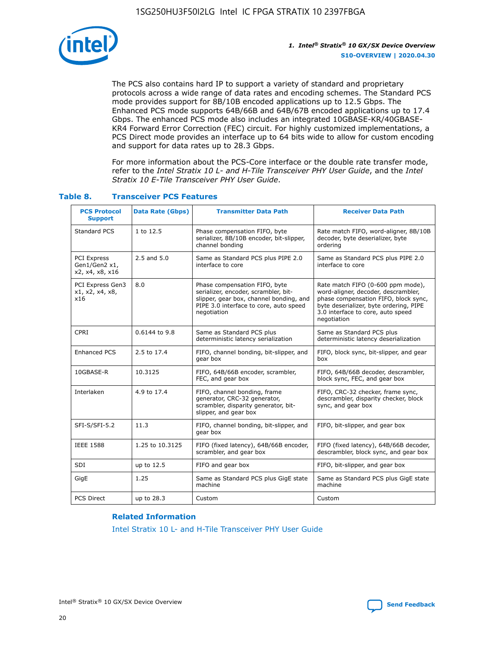

The PCS also contains hard IP to support a variety of standard and proprietary protocols across a wide range of data rates and encoding schemes. The Standard PCS mode provides support for 8B/10B encoded applications up to 12.5 Gbps. The Enhanced PCS mode supports 64B/66B and 64B/67B encoded applications up to 17.4 Gbps. The enhanced PCS mode also includes an integrated 10GBASE-KR/40GBASE-KR4 Forward Error Correction (FEC) circuit. For highly customized implementations, a PCS Direct mode provides an interface up to 64 bits wide to allow for custom encoding and support for data rates up to 28.3 Gbps.

For more information about the PCS-Core interface or the double rate transfer mode, refer to the *Intel Stratix 10 L- and H-Tile Transceiver PHY User Guide*, and the *Intel Stratix 10 E-Tile Transceiver PHY User Guide*.

| <b>PCS Protocol</b><br><b>Support</b>           | <b>Data Rate (Gbps)</b> | <b>Transmitter Data Path</b>                                                                                                                                              | <b>Receiver Data Path</b>                                                                                                                                                                                      |
|-------------------------------------------------|-------------------------|---------------------------------------------------------------------------------------------------------------------------------------------------------------------------|----------------------------------------------------------------------------------------------------------------------------------------------------------------------------------------------------------------|
| Standard PCS                                    | 1 to 12.5               | Phase compensation FIFO, byte<br>serializer, 8B/10B encoder, bit-slipper,<br>channel bonding                                                                              | Rate match FIFO, word-aligner, 8B/10B<br>decoder, byte deserializer, byte<br>ordering                                                                                                                          |
| PCI Express<br>Gen1/Gen2 x1,<br>x2, x4, x8, x16 | $2.5$ and $5.0$         | Same as Standard PCS plus PIPE 2.0<br>interface to core                                                                                                                   | Same as Standard PCS plus PIPE 2.0<br>interface to core                                                                                                                                                        |
| PCI Express Gen3<br>x1, x2, x4, x8,<br>x16      | 8.0                     | Phase compensation FIFO, byte<br>serializer, encoder, scrambler, bit-<br>slipper, gear box, channel bonding, and<br>PIPE 3.0 interface to core, auto speed<br>negotiation | Rate match FIFO (0-600 ppm mode),<br>word-aligner, decoder, descrambler,<br>phase compensation FIFO, block sync,<br>byte deserializer, byte ordering, PIPE<br>3.0 interface to core, auto speed<br>negotiation |
| CPRI                                            | 0.6144 to 9.8           | Same as Standard PCS plus<br>deterministic latency serialization                                                                                                          | Same as Standard PCS plus<br>deterministic latency deserialization                                                                                                                                             |
| <b>Enhanced PCS</b>                             | 2.5 to 17.4             | FIFO, channel bonding, bit-slipper, and<br>gear box                                                                                                                       | FIFO, block sync, bit-slipper, and gear<br>box                                                                                                                                                                 |
| 10GBASE-R                                       | 10.3125                 | FIFO, 64B/66B encoder, scrambler,<br>FEC, and gear box                                                                                                                    | FIFO, 64B/66B decoder, descrambler,<br>block sync, FEC, and gear box                                                                                                                                           |
| Interlaken                                      | 4.9 to 17.4             | FIFO, channel bonding, frame<br>generator, CRC-32 generator,<br>scrambler, disparity generator, bit-<br>slipper, and gear box                                             | FIFO, CRC-32 checker, frame sync,<br>descrambler, disparity checker, block<br>sync, and gear box                                                                                                               |
| SFI-S/SFI-5.2                                   | 11.3                    | FIFO, channel bonding, bit-slipper, and<br>gear box                                                                                                                       | FIFO, bit-slipper, and gear box                                                                                                                                                                                |
| <b>IEEE 1588</b>                                | 1.25 to 10.3125         | FIFO (fixed latency), 64B/66B encoder,<br>scrambler, and gear box                                                                                                         | FIFO (fixed latency), 64B/66B decoder,<br>descrambler, block sync, and gear box                                                                                                                                |
| SDI                                             | up to 12.5              | FIFO and gear box                                                                                                                                                         | FIFO, bit-slipper, and gear box                                                                                                                                                                                |
| GigE                                            | 1.25                    | Same as Standard PCS plus GigE state<br>machine                                                                                                                           | Same as Standard PCS plus GigE state<br>machine                                                                                                                                                                |
| <b>PCS Direct</b>                               | up to 28.3              | Custom                                                                                                                                                                    | Custom                                                                                                                                                                                                         |

## **Table 8. Transceiver PCS Features**

#### **Related Information**

[Intel Stratix 10 L- and H-Tile Transceiver PHY User Guide](https://www.altera.com/documentation/wry1479165198810.html)

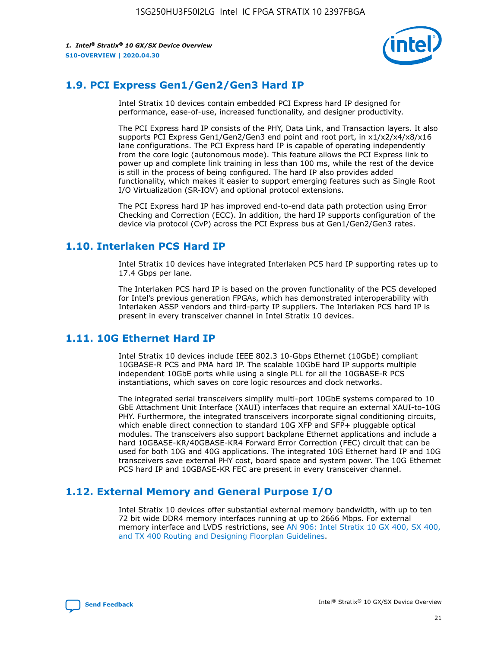

## **1.9. PCI Express Gen1/Gen2/Gen3 Hard IP**

Intel Stratix 10 devices contain embedded PCI Express hard IP designed for performance, ease-of-use, increased functionality, and designer productivity.

The PCI Express hard IP consists of the PHY, Data Link, and Transaction layers. It also supports PCI Express Gen1/Gen2/Gen3 end point and root port, in x1/x2/x4/x8/x16 lane configurations. The PCI Express hard IP is capable of operating independently from the core logic (autonomous mode). This feature allows the PCI Express link to power up and complete link training in less than 100 ms, while the rest of the device is still in the process of being configured. The hard IP also provides added functionality, which makes it easier to support emerging features such as Single Root I/O Virtualization (SR-IOV) and optional protocol extensions.

The PCI Express hard IP has improved end-to-end data path protection using Error Checking and Correction (ECC). In addition, the hard IP supports configuration of the device via protocol (CvP) across the PCI Express bus at Gen1/Gen2/Gen3 rates.

## **1.10. Interlaken PCS Hard IP**

Intel Stratix 10 devices have integrated Interlaken PCS hard IP supporting rates up to 17.4 Gbps per lane.

The Interlaken PCS hard IP is based on the proven functionality of the PCS developed for Intel's previous generation FPGAs, which has demonstrated interoperability with Interlaken ASSP vendors and third-party IP suppliers. The Interlaken PCS hard IP is present in every transceiver channel in Intel Stratix 10 devices.

## **1.11. 10G Ethernet Hard IP**

Intel Stratix 10 devices include IEEE 802.3 10-Gbps Ethernet (10GbE) compliant 10GBASE-R PCS and PMA hard IP. The scalable 10GbE hard IP supports multiple independent 10GbE ports while using a single PLL for all the 10GBASE-R PCS instantiations, which saves on core logic resources and clock networks.

The integrated serial transceivers simplify multi-port 10GbE systems compared to 10 GbE Attachment Unit Interface (XAUI) interfaces that require an external XAUI-to-10G PHY. Furthermore, the integrated transceivers incorporate signal conditioning circuits, which enable direct connection to standard 10G XFP and SFP+ pluggable optical modules. The transceivers also support backplane Ethernet applications and include a hard 10GBASE-KR/40GBASE-KR4 Forward Error Correction (FEC) circuit that can be used for both 10G and 40G applications. The integrated 10G Ethernet hard IP and 10G transceivers save external PHY cost, board space and system power. The 10G Ethernet PCS hard IP and 10GBASE-KR FEC are present in every transceiver channel.

## **1.12. External Memory and General Purpose I/O**

Intel Stratix 10 devices offer substantial external memory bandwidth, with up to ten 72 bit wide DDR4 memory interfaces running at up to 2666 Mbps. For external memory interface and LVDS restrictions, see [AN 906: Intel Stratix 10 GX 400, SX 400,](https://www.intel.com/content/www/us/en/programmable/documentation/sjf1574667190623.html#bft1574667627484) [and TX 400 Routing and Designing Floorplan Guidelines.](https://www.intel.com/content/www/us/en/programmable/documentation/sjf1574667190623.html#bft1574667627484)

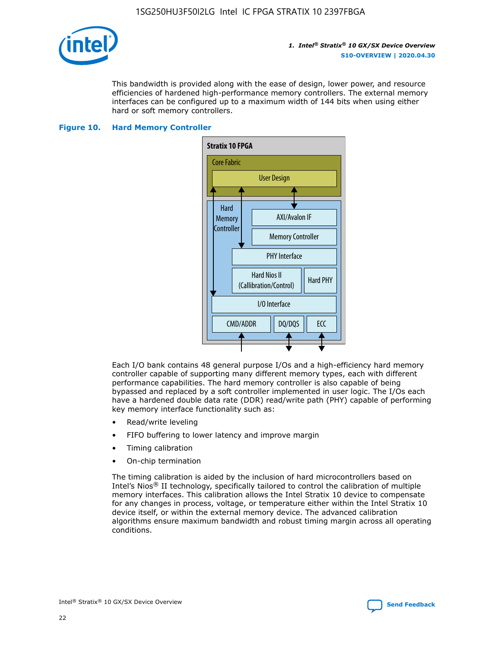

This bandwidth is provided along with the ease of design, lower power, and resource efficiencies of hardened high-performance memory controllers. The external memory interfaces can be configured up to a maximum width of 144 bits when using either hard or soft memory controllers.

#### **Figure 10. Hard Memory Controller**



Each I/O bank contains 48 general purpose I/Os and a high-efficiency hard memory controller capable of supporting many different memory types, each with different performance capabilities. The hard memory controller is also capable of being bypassed and replaced by a soft controller implemented in user logic. The I/Os each have a hardened double data rate (DDR) read/write path (PHY) capable of performing key memory interface functionality such as:

- Read/write leveling
- FIFO buffering to lower latency and improve margin
- Timing calibration
- On-chip termination

The timing calibration is aided by the inclusion of hard microcontrollers based on Intel's Nios® II technology, specifically tailored to control the calibration of multiple memory interfaces. This calibration allows the Intel Stratix 10 device to compensate for any changes in process, voltage, or temperature either within the Intel Stratix 10 device itself, or within the external memory device. The advanced calibration algorithms ensure maximum bandwidth and robust timing margin across all operating conditions.

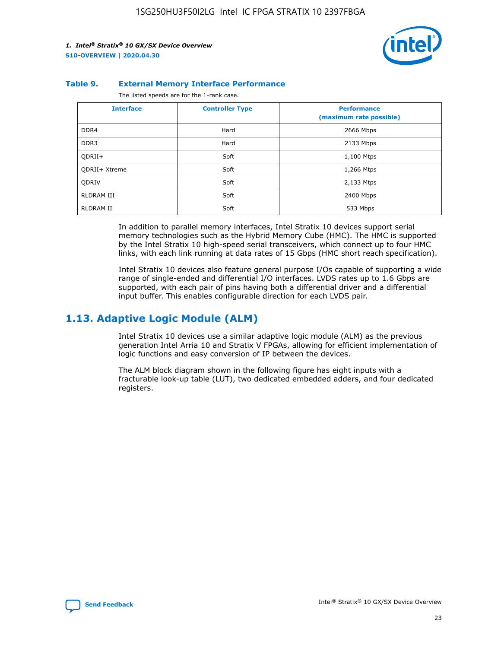

#### **Table 9. External Memory Interface Performance**

The listed speeds are for the 1-rank case.

| <b>Interface</b>  | <b>Controller Type</b> | <b>Performance</b><br>(maximum rate possible) |
|-------------------|------------------------|-----------------------------------------------|
| DDR4              | Hard                   | 2666 Mbps                                     |
| DDR <sub>3</sub>  | Hard                   | 2133 Mbps                                     |
| QDRII+            | Soft                   | 1,100 Mtps                                    |
| QDRII+ Xtreme     | Soft                   | 1,266 Mtps                                    |
| <b>ODRIV</b>      | Soft                   | 2,133 Mtps                                    |
| <b>RLDRAM III</b> | Soft                   | 2400 Mbps                                     |
| <b>RLDRAM II</b>  | Soft                   | 533 Mbps                                      |

In addition to parallel memory interfaces, Intel Stratix 10 devices support serial memory technologies such as the Hybrid Memory Cube (HMC). The HMC is supported by the Intel Stratix 10 high-speed serial transceivers, which connect up to four HMC links, with each link running at data rates of 15 Gbps (HMC short reach specification).

Intel Stratix 10 devices also feature general purpose I/Os capable of supporting a wide range of single-ended and differential I/O interfaces. LVDS rates up to 1.6 Gbps are supported, with each pair of pins having both a differential driver and a differential input buffer. This enables configurable direction for each LVDS pair.

## **1.13. Adaptive Logic Module (ALM)**

Intel Stratix 10 devices use a similar adaptive logic module (ALM) as the previous generation Intel Arria 10 and Stratix V FPGAs, allowing for efficient implementation of logic functions and easy conversion of IP between the devices.

The ALM block diagram shown in the following figure has eight inputs with a fracturable look-up table (LUT), two dedicated embedded adders, and four dedicated registers.

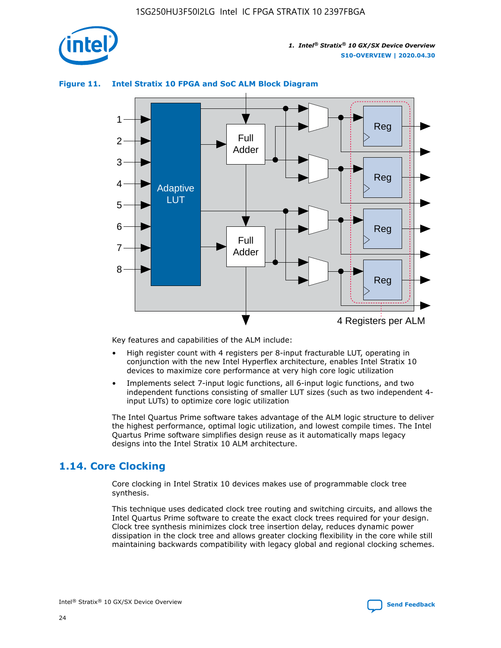

## **Figure 11. Intel Stratix 10 FPGA and SoC ALM Block Diagram**



Key features and capabilities of the ALM include:

- High register count with 4 registers per 8-input fracturable LUT, operating in conjunction with the new Intel Hyperflex architecture, enables Intel Stratix 10 devices to maximize core performance at very high core logic utilization
- Implements select 7-input logic functions, all 6-input logic functions, and two independent functions consisting of smaller LUT sizes (such as two independent 4 input LUTs) to optimize core logic utilization

The Intel Quartus Prime software takes advantage of the ALM logic structure to deliver the highest performance, optimal logic utilization, and lowest compile times. The Intel Quartus Prime software simplifies design reuse as it automatically maps legacy designs into the Intel Stratix 10 ALM architecture.

## **1.14. Core Clocking**

Core clocking in Intel Stratix 10 devices makes use of programmable clock tree synthesis.

This technique uses dedicated clock tree routing and switching circuits, and allows the Intel Quartus Prime software to create the exact clock trees required for your design. Clock tree synthesis minimizes clock tree insertion delay, reduces dynamic power dissipation in the clock tree and allows greater clocking flexibility in the core while still maintaining backwards compatibility with legacy global and regional clocking schemes.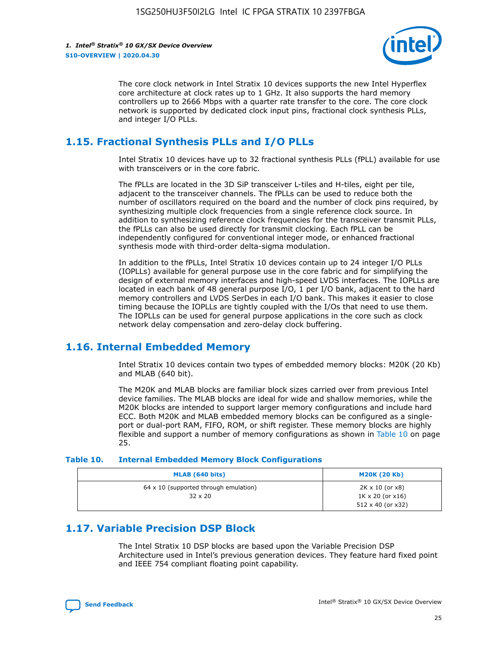

The core clock network in Intel Stratix 10 devices supports the new Intel Hyperflex core architecture at clock rates up to 1 GHz. It also supports the hard memory controllers up to 2666 Mbps with a quarter rate transfer to the core. The core clock network is supported by dedicated clock input pins, fractional clock synthesis PLLs, and integer I/O PLLs.

## **1.15. Fractional Synthesis PLLs and I/O PLLs**

Intel Stratix 10 devices have up to 32 fractional synthesis PLLs (fPLL) available for use with transceivers or in the core fabric.

The fPLLs are located in the 3D SiP transceiver L-tiles and H-tiles, eight per tile, adjacent to the transceiver channels. The fPLLs can be used to reduce both the number of oscillators required on the board and the number of clock pins required, by synthesizing multiple clock frequencies from a single reference clock source. In addition to synthesizing reference clock frequencies for the transceiver transmit PLLs, the fPLLs can also be used directly for transmit clocking. Each fPLL can be independently configured for conventional integer mode, or enhanced fractional synthesis mode with third-order delta-sigma modulation.

In addition to the fPLLs, Intel Stratix 10 devices contain up to 24 integer I/O PLLs (IOPLLs) available for general purpose use in the core fabric and for simplifying the design of external memory interfaces and high-speed LVDS interfaces. The IOPLLs are located in each bank of 48 general purpose I/O, 1 per I/O bank, adjacent to the hard memory controllers and LVDS SerDes in each I/O bank. This makes it easier to close timing because the IOPLLs are tightly coupled with the I/Os that need to use them. The IOPLLs can be used for general purpose applications in the core such as clock network delay compensation and zero-delay clock buffering.

## **1.16. Internal Embedded Memory**

Intel Stratix 10 devices contain two types of embedded memory blocks: M20K (20 Kb) and MLAB (640 bit).

The M20K and MLAB blocks are familiar block sizes carried over from previous Intel device families. The MLAB blocks are ideal for wide and shallow memories, while the M20K blocks are intended to support larger memory configurations and include hard ECC. Both M20K and MLAB embedded memory blocks can be configured as a singleport or dual-port RAM, FIFO, ROM, or shift register. These memory blocks are highly flexible and support a number of memory configurations as shown in Table 10 on page 25.

#### **Table 10. Internal Embedded Memory Block Configurations**

| MLAB (640 bits)                                                | <b>M20K (20 Kb)</b>                                                                    |
|----------------------------------------------------------------|----------------------------------------------------------------------------------------|
| $64 \times 10$ (supported through emulation)<br>$32 \times 20$ | $2K \times 10$ (or $x8$ )<br>$1K \times 20$ (or $x16$ )<br>$512 \times 40$ (or $x32$ ) |

## **1.17. Variable Precision DSP Block**

The Intel Stratix 10 DSP blocks are based upon the Variable Precision DSP Architecture used in Intel's previous generation devices. They feature hard fixed point and IEEE 754 compliant floating point capability.

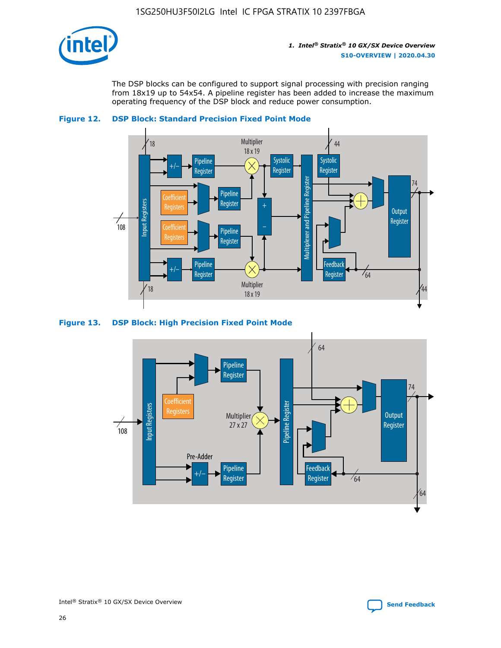

The DSP blocks can be configured to support signal processing with precision ranging from 18x19 up to 54x54. A pipeline register has been added to increase the maximum operating frequency of the DSP block and reduce power consumption.



### **Figure 12. DSP Block: Standard Precision Fixed Point Mode**



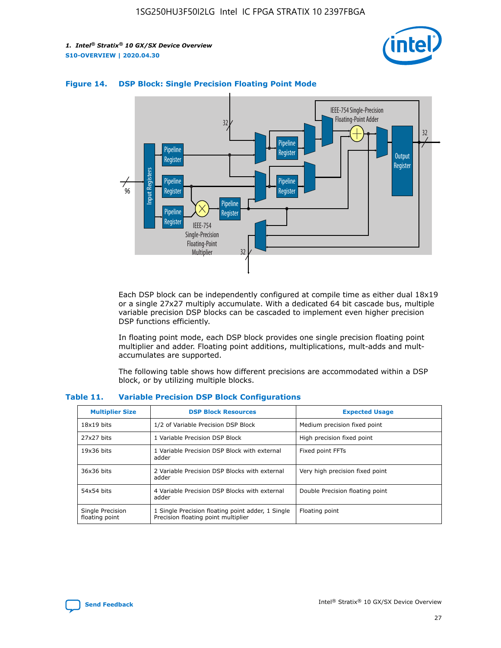



## **Figure 14. DSP Block: Single Precision Floating Point Mode**

Each DSP block can be independently configured at compile time as either dual 18x19 or a single 27x27 multiply accumulate. With a dedicated 64 bit cascade bus, multiple variable precision DSP blocks can be cascaded to implement even higher precision DSP functions efficiently.

In floating point mode, each DSP block provides one single precision floating point multiplier and adder. Floating point additions, multiplications, mult-adds and multaccumulates are supported.

The following table shows how different precisions are accommodated within a DSP block, or by utilizing multiple blocks.

| <b>Multiplier Size</b>             | <b>DSP Block Resources</b>                                                               | <b>Expected Usage</b>           |
|------------------------------------|------------------------------------------------------------------------------------------|---------------------------------|
| $18x19$ bits                       | 1/2 of Variable Precision DSP Block                                                      | Medium precision fixed point    |
| 27x27 bits                         | 1 Variable Precision DSP Block                                                           | High precision fixed point      |
| $19x36$ bits                       | 1 Variable Precision DSP Block with external<br>adder                                    | Fixed point FFTs                |
| 36x36 bits                         | 2 Variable Precision DSP Blocks with external<br>adder                                   | Very high precision fixed point |
| 54x54 bits                         | 4 Variable Precision DSP Blocks with external<br>adder                                   | Double Precision floating point |
| Single Precision<br>floating point | 1 Single Precision floating point adder, 1 Single<br>Precision floating point multiplier | Floating point                  |

#### **Table 11. Variable Precision DSP Block Configurations**

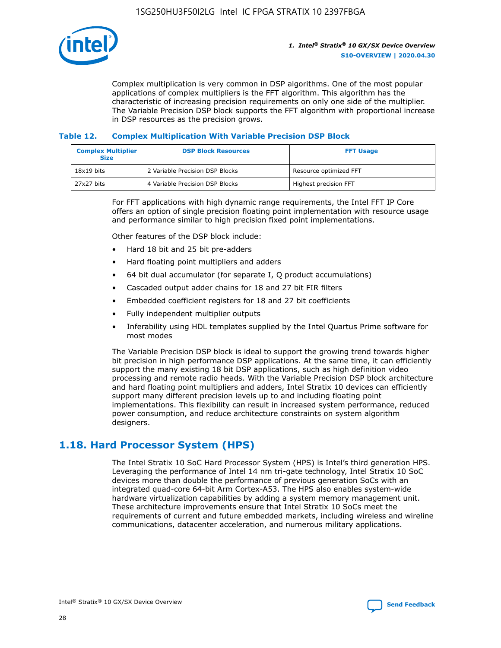

Complex multiplication is very common in DSP algorithms. One of the most popular applications of complex multipliers is the FFT algorithm. This algorithm has the characteristic of increasing precision requirements on only one side of the multiplier. The Variable Precision DSP block supports the FFT algorithm with proportional increase in DSP resources as the precision grows.

### **Table 12. Complex Multiplication With Variable Precision DSP Block**

| <b>Complex Multiplier</b><br><b>Size</b> | <b>DSP Block Resources</b>      | <b>FFT Usage</b>       |
|------------------------------------------|---------------------------------|------------------------|
| $18x19$ bits                             | 2 Variable Precision DSP Blocks | Resource optimized FFT |
| $27x27$ bits                             | 4 Variable Precision DSP Blocks | Highest precision FFT  |

For FFT applications with high dynamic range requirements, the Intel FFT IP Core offers an option of single precision floating point implementation with resource usage and performance similar to high precision fixed point implementations.

Other features of the DSP block include:

- Hard 18 bit and 25 bit pre-adders
- Hard floating point multipliers and adders
- 64 bit dual accumulator (for separate I, Q product accumulations)
- Cascaded output adder chains for 18 and 27 bit FIR filters
- Embedded coefficient registers for 18 and 27 bit coefficients
- Fully independent multiplier outputs
- Inferability using HDL templates supplied by the Intel Quartus Prime software for most modes

The Variable Precision DSP block is ideal to support the growing trend towards higher bit precision in high performance DSP applications. At the same time, it can efficiently support the many existing 18 bit DSP applications, such as high definition video processing and remote radio heads. With the Variable Precision DSP block architecture and hard floating point multipliers and adders, Intel Stratix 10 devices can efficiently support many different precision levels up to and including floating point implementations. This flexibility can result in increased system performance, reduced power consumption, and reduce architecture constraints on system algorithm designers.

## **1.18. Hard Processor System (HPS)**

The Intel Stratix 10 SoC Hard Processor System (HPS) is Intel's third generation HPS. Leveraging the performance of Intel 14 nm tri-gate technology, Intel Stratix 10 SoC devices more than double the performance of previous generation SoCs with an integrated quad-core 64-bit Arm Cortex-A53. The HPS also enables system-wide hardware virtualization capabilities by adding a system memory management unit. These architecture improvements ensure that Intel Stratix 10 SoCs meet the requirements of current and future embedded markets, including wireless and wireline communications, datacenter acceleration, and numerous military applications.

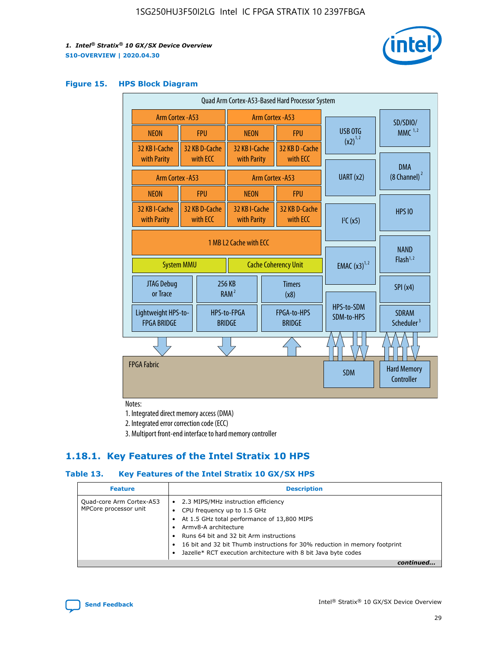

#### **Figure 15. HPS Block Diagram**

| Quad Arm Cortex-A53-Based Hard Processor System |  |                                                       |                                                     |                          |                                     |                          |                                        |
|-------------------------------------------------|--|-------------------------------------------------------|-----------------------------------------------------|--------------------------|-------------------------------------|--------------------------|----------------------------------------|
| Arm Cortex - A53                                |  | Arm Cortex - A53                                      |                                                     |                          |                                     | SD/SDIO/                 |                                        |
| <b>NEON</b>                                     |  | <b>FPU</b>                                            | <b>NEON</b>                                         |                          | <b>FPU</b>                          | <b>USB OTG</b>           | $MMC$ <sup>1,2</sup>                   |
| 32 KB I-Cache<br>with Parity                    |  | 32 KB D-Cache<br>with ECC                             | 32 KB I-Cache<br>with Parity                        |                          | 32 KB D-Cache<br>with ECC           | $(x2)^{1,2}$             |                                        |
| Arm Cortex - A53                                |  |                                                       |                                                     |                          | Arm Cortex - A53                    | UART (x2)                | <b>DMA</b><br>$(8 \text{ Channel})^2$  |
| <b>NEON</b>                                     |  | <b>FPU</b>                                            | <b>NEON</b>                                         |                          | <b>FPU</b>                          |                          |                                        |
| 32 KB I-Cache<br>with Parity                    |  | 32 KB D-Cache<br>with ECC                             | 32 KB I-Cache<br>with Parity<br>with ECC            |                          | 32 KB D-Cache                       | I <sup>2</sup> C(x5)     | <b>HPS 10</b>                          |
| <b>System MMU</b>                               |  | 1 MB L2 Cache with ECC<br><b>Cache Coherency Unit</b> |                                                     | <b>EMAC</b> $(x3)^{1,2}$ | <b>NAND</b><br>Flash <sup>1,2</sup> |                          |                                        |
| JTAG Debug<br>or Trace                          |  |                                                       | 256 KB<br><b>Timers</b><br>RAM <sup>2</sup><br>(x8) |                          |                                     | SPI(x4)                  |                                        |
| Lightweight HPS-to-<br><b>FPGA BRIDGE</b>       |  |                                                       | HPS-to-FPGA<br><b>BRIDGE</b>                        |                          | FPGA-to-HPS<br><b>BRIDGE</b>        | HPS-to-SDM<br>SDM-to-HPS | <b>SDRAM</b><br>Scheduler <sup>3</sup> |
|                                                 |  |                                                       |                                                     |                          |                                     |                          |                                        |
| <b>FPGA Fabric</b>                              |  |                                                       |                                                     |                          |                                     | <b>SDM</b>               | <b>Hard Memory</b><br>Controller       |

Notes:

1. Integrated direct memory access (DMA)

2. Integrated error correction code (ECC)

3. Multiport front-end interface to hard memory controller

## **1.18.1. Key Features of the Intel Stratix 10 HPS**

## **Table 13. Key Features of the Intel Stratix 10 GX/SX HPS**

| <b>Feature</b>                                    | <b>Description</b>                                                                                                                                                                                                                                                                                                                                     |
|---------------------------------------------------|--------------------------------------------------------------------------------------------------------------------------------------------------------------------------------------------------------------------------------------------------------------------------------------------------------------------------------------------------------|
| Quad-core Arm Cortex-A53<br>MPCore processor unit | 2.3 MIPS/MHz instruction efficiency<br>$\bullet$<br>CPU frequency up to 1.5 GHz<br>٠<br>At 1.5 GHz total performance of 13,800 MIPS<br>Army8-A architecture<br>Runs 64 bit and 32 bit Arm instructions<br>16 bit and 32 bit Thumb instructions for 30% reduction in memory footprint<br>Jazelle* RCT execution architecture with 8 bit Java byte codes |
|                                                   |                                                                                                                                                                                                                                                                                                                                                        |

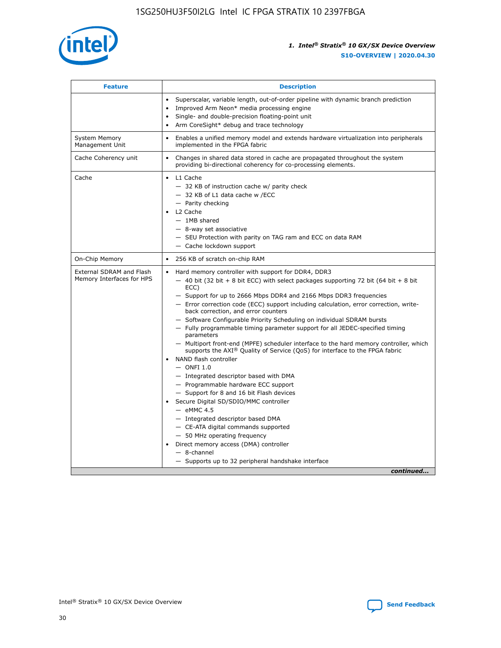

| <b>Feature</b>                                        | <b>Description</b>                                                                                                                                                                                                                                                                                                                                                                                                                                                                                                                                                                                                                                                                                                                                                                                                                                                                                                                                                                                                                                                                                                                                                                                                     |
|-------------------------------------------------------|------------------------------------------------------------------------------------------------------------------------------------------------------------------------------------------------------------------------------------------------------------------------------------------------------------------------------------------------------------------------------------------------------------------------------------------------------------------------------------------------------------------------------------------------------------------------------------------------------------------------------------------------------------------------------------------------------------------------------------------------------------------------------------------------------------------------------------------------------------------------------------------------------------------------------------------------------------------------------------------------------------------------------------------------------------------------------------------------------------------------------------------------------------------------------------------------------------------------|
|                                                       | Superscalar, variable length, out-of-order pipeline with dynamic branch prediction<br>Improved Arm Neon* media processing engine<br>$\bullet$<br>Single- and double-precision floating-point unit<br>Arm CoreSight* debug and trace technology<br>$\bullet$                                                                                                                                                                                                                                                                                                                                                                                                                                                                                                                                                                                                                                                                                                                                                                                                                                                                                                                                                            |
| <b>System Memory</b><br>Management Unit               | Enables a unified memory model and extends hardware virtualization into peripherals<br>$\bullet$<br>implemented in the FPGA fabric                                                                                                                                                                                                                                                                                                                                                                                                                                                                                                                                                                                                                                                                                                                                                                                                                                                                                                                                                                                                                                                                                     |
| Cache Coherency unit                                  | $\bullet$<br>Changes in shared data stored in cache are propagated throughout the system<br>providing bi-directional coherency for co-processing elements.                                                                                                                                                                                                                                                                                                                                                                                                                                                                                                                                                                                                                                                                                                                                                                                                                                                                                                                                                                                                                                                             |
| Cache                                                 | L1 Cache<br>$\bullet$<br>- 32 KB of instruction cache w/ parity check<br>- 32 KB of L1 data cache w /ECC<br>- Parity checking<br>L2 Cache<br>$-$ 1MB shared<br>- 8-way set associative<br>- SEU Protection with parity on TAG ram and ECC on data RAM<br>- Cache lockdown support                                                                                                                                                                                                                                                                                                                                                                                                                                                                                                                                                                                                                                                                                                                                                                                                                                                                                                                                      |
| On-Chip Memory                                        | 256 KB of scratch on-chip RAM<br>$\bullet$                                                                                                                                                                                                                                                                                                                                                                                                                                                                                                                                                                                                                                                                                                                                                                                                                                                                                                                                                                                                                                                                                                                                                                             |
| External SDRAM and Flash<br>Memory Interfaces for HPS | Hard memory controller with support for DDR4, DDR3<br>$\bullet$<br>$-$ 40 bit (32 bit + 8 bit ECC) with select packages supporting 72 bit (64 bit + 8 bit<br>ECC)<br>- Support for up to 2666 Mbps DDR4 and 2166 Mbps DDR3 frequencies<br>- Error correction code (ECC) support including calculation, error correction, write-<br>back correction, and error counters<br>- Software Configurable Priority Scheduling on individual SDRAM bursts<br>- Fully programmable timing parameter support for all JEDEC-specified timing<br>parameters<br>- Multiport front-end (MPFE) scheduler interface to the hard memory controller, which<br>supports the $AXI^{\circledR}$ Quality of Service (QoS) for interface to the FPGA fabric<br>NAND flash controller<br>$-$ ONFI 1.0<br>- Integrated descriptor based with DMA<br>- Programmable hardware ECC support<br>- Support for 8 and 16 bit Flash devices<br>Secure Digital SD/SDIO/MMC controller<br>$-$ eMMC 4.5<br>- Integrated descriptor based DMA<br>- CE-ATA digital commands supported<br>- 50 MHz operating frequency<br>Direct memory access (DMA) controller<br>$\bullet$<br>- 8-channel<br>- Supports up to 32 peripheral handshake interface<br>continued |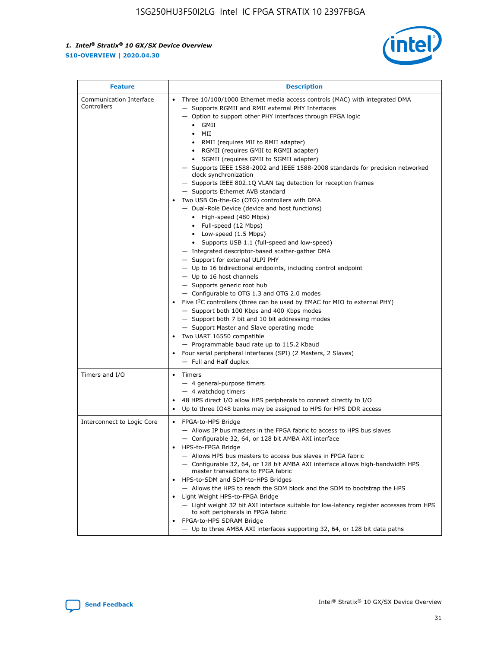

| <b>Feature</b>                         | <b>Description</b>                                                                                                                                                                                                                                                                                                                                                                                                                                                                                                                                                                                                                                                                                                                                                                                                                                                                                                                                                                                                                                                                                                                                                                                                                                                                                                                                                                                                                                                                                                         |  |
|----------------------------------------|----------------------------------------------------------------------------------------------------------------------------------------------------------------------------------------------------------------------------------------------------------------------------------------------------------------------------------------------------------------------------------------------------------------------------------------------------------------------------------------------------------------------------------------------------------------------------------------------------------------------------------------------------------------------------------------------------------------------------------------------------------------------------------------------------------------------------------------------------------------------------------------------------------------------------------------------------------------------------------------------------------------------------------------------------------------------------------------------------------------------------------------------------------------------------------------------------------------------------------------------------------------------------------------------------------------------------------------------------------------------------------------------------------------------------------------------------------------------------------------------------------------------------|--|
| Communication Interface<br>Controllers | Three 10/100/1000 Ethernet media access controls (MAC) with integrated DMA<br>- Supports RGMII and RMII external PHY Interfaces<br>- Option to support other PHY interfaces through FPGA logic<br>GMII<br>$\bullet$<br>MII<br>$\bullet$<br>• RMII (requires MII to RMII adapter)<br>• RGMII (requires GMII to RGMII adapter)<br>• SGMII (requires GMII to SGMII adapter)<br>- Supports IEEE 1588-2002 and IEEE 1588-2008 standards for precision networked<br>clock synchronization<br>- Supports IEEE 802.1Q VLAN tag detection for reception frames<br>- Supports Ethernet AVB standard<br>Two USB On-the-Go (OTG) controllers with DMA<br>- Dual-Role Device (device and host functions)<br>• High-speed (480 Mbps)<br>• Full-speed (12 Mbps)<br>• Low-speed $(1.5 \text{ Mbps})$<br>• Supports USB 1.1 (full-speed and low-speed)<br>- Integrated descriptor-based scatter-gather DMA<br>- Support for external ULPI PHY<br>- Up to 16 bidirectional endpoints, including control endpoint<br>$-$ Up to 16 host channels<br>- Supports generic root hub<br>- Configurable to OTG 1.3 and OTG 2.0 modes<br>Five I <sup>2</sup> C controllers (three can be used by EMAC for MIO to external PHY)<br>- Support both 100 Kbps and 400 Kbps modes<br>- Support both 7 bit and 10 bit addressing modes<br>- Support Master and Slave operating mode<br>Two UART 16550 compatible<br>- Programmable baud rate up to 115.2 Kbaud<br>• Four serial peripheral interfaces (SPI) (2 Masters, 2 Slaves)<br>- Full and Half duplex |  |
| Timers and I/O                         | • Timers<br>- 4 general-purpose timers<br>$-4$ watchdog timers<br>48 HPS direct I/O allow HPS peripherals to connect directly to I/O<br>Up to three IO48 banks may be assigned to HPS for HPS DDR access                                                                                                                                                                                                                                                                                                                                                                                                                                                                                                                                                                                                                                                                                                                                                                                                                                                                                                                                                                                                                                                                                                                                                                                                                                                                                                                   |  |
| Interconnect to Logic Core             | • FPGA-to-HPS Bridge<br>- Allows IP bus masters in the FPGA fabric to access to HPS bus slaves<br>- Configurable 32, 64, or 128 bit AMBA AXI interface<br>HPS-to-FPGA Bridge<br>- Allows HPS bus masters to access bus slaves in FPGA fabric<br>- Configurable 32, 64, or 128 bit AMBA AXI interface allows high-bandwidth HPS<br>master transactions to FPGA fabric<br>HPS-to-SDM and SDM-to-HPS Bridges<br>- Allows the HPS to reach the SDM block and the SDM to bootstrap the HPS<br>Light Weight HPS-to-FPGA Bridge<br>- Light weight 32 bit AXI interface suitable for low-latency register accesses from HPS<br>to soft peripherals in FPGA fabric<br>FPGA-to-HPS SDRAM Bridge<br>- Up to three AMBA AXI interfaces supporting 32, 64, or 128 bit data paths                                                                                                                                                                                                                                                                                                                                                                                                                                                                                                                                                                                                                                                                                                                                                        |  |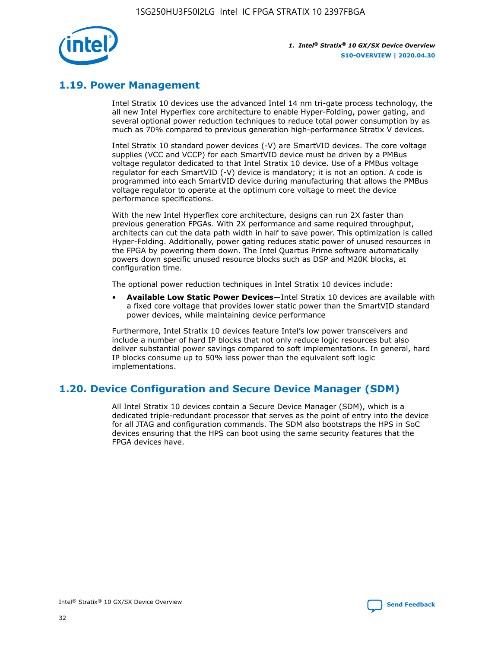

## **1.19. Power Management**

Intel Stratix 10 devices use the advanced Intel 14 nm tri-gate process technology, the all new Intel Hyperflex core architecture to enable Hyper-Folding, power gating, and several optional power reduction techniques to reduce total power consumption by as much as 70% compared to previous generation high-performance Stratix V devices.

Intel Stratix 10 standard power devices (-V) are SmartVID devices. The core voltage supplies (VCC and VCCP) for each SmartVID device must be driven by a PMBus voltage regulator dedicated to that Intel Stratix 10 device. Use of a PMBus voltage regulator for each SmartVID (-V) device is mandatory; it is not an option. A code is programmed into each SmartVID device during manufacturing that allows the PMBus voltage regulator to operate at the optimum core voltage to meet the device performance specifications.

With the new Intel Hyperflex core architecture, designs can run 2X faster than previous generation FPGAs. With 2X performance and same required throughput, architects can cut the data path width in half to save power. This optimization is called Hyper-Folding. Additionally, power gating reduces static power of unused resources in the FPGA by powering them down. The Intel Quartus Prime software automatically powers down specific unused resource blocks such as DSP and M20K blocks, at configuration time.

The optional power reduction techniques in Intel Stratix 10 devices include:

• **Available Low Static Power Devices**—Intel Stratix 10 devices are available with a fixed core voltage that provides lower static power than the SmartVID standard power devices, while maintaining device performance

Furthermore, Intel Stratix 10 devices feature Intel's low power transceivers and include a number of hard IP blocks that not only reduce logic resources but also deliver substantial power savings compared to soft implementations. In general, hard IP blocks consume up to 50% less power than the equivalent soft logic implementations.

## **1.20. Device Configuration and Secure Device Manager (SDM)**

All Intel Stratix 10 devices contain a Secure Device Manager (SDM), which is a dedicated triple-redundant processor that serves as the point of entry into the device for all JTAG and configuration commands. The SDM also bootstraps the HPS in SoC devices ensuring that the HPS can boot using the same security features that the FPGA devices have.

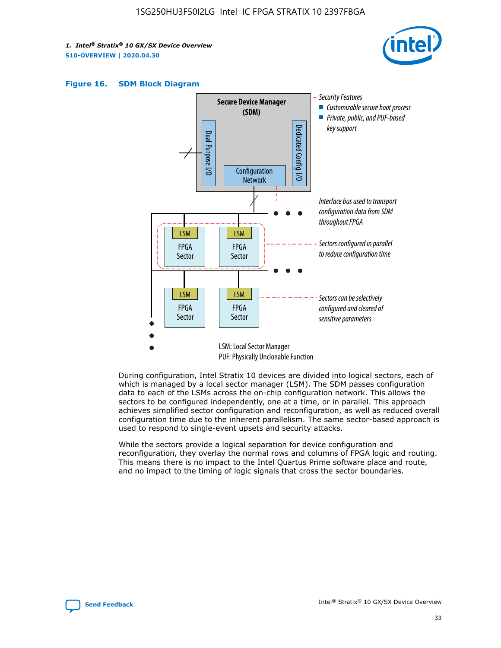





During configuration, Intel Stratix 10 devices are divided into logical sectors, each of which is managed by a local sector manager (LSM). The SDM passes configuration data to each of the LSMs across the on-chip configuration network. This allows the sectors to be configured independently, one at a time, or in parallel. This approach achieves simplified sector configuration and reconfiguration, as well as reduced overall configuration time due to the inherent parallelism. The same sector-based approach is used to respond to single-event upsets and security attacks.

While the sectors provide a logical separation for device configuration and reconfiguration, they overlay the normal rows and columns of FPGA logic and routing. This means there is no impact to the Intel Quartus Prime software place and route, and no impact to the timing of logic signals that cross the sector boundaries.

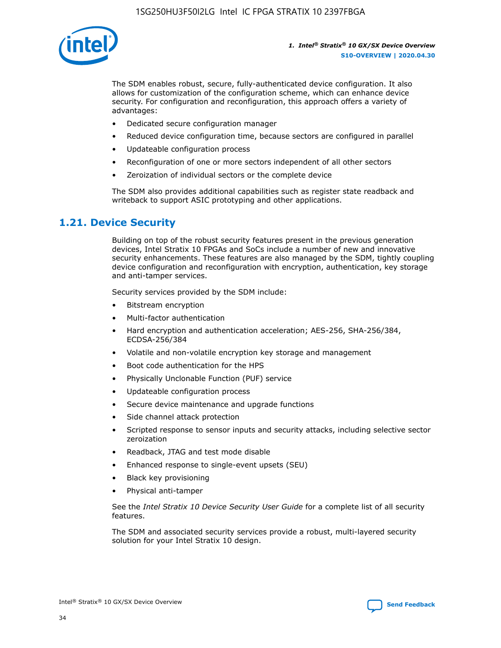

The SDM enables robust, secure, fully-authenticated device configuration. It also allows for customization of the configuration scheme, which can enhance device security. For configuration and reconfiguration, this approach offers a variety of advantages:

- Dedicated secure configuration manager
- Reduced device configuration time, because sectors are configured in parallel
- Updateable configuration process
- Reconfiguration of one or more sectors independent of all other sectors
- Zeroization of individual sectors or the complete device

The SDM also provides additional capabilities such as register state readback and writeback to support ASIC prototyping and other applications.

## **1.21. Device Security**

Building on top of the robust security features present in the previous generation devices, Intel Stratix 10 FPGAs and SoCs include a number of new and innovative security enhancements. These features are also managed by the SDM, tightly coupling device configuration and reconfiguration with encryption, authentication, key storage and anti-tamper services.

Security services provided by the SDM include:

- Bitstream encryption
- Multi-factor authentication
- Hard encryption and authentication acceleration; AES-256, SHA-256/384, ECDSA-256/384
- Volatile and non-volatile encryption key storage and management
- Boot code authentication for the HPS
- Physically Unclonable Function (PUF) service
- Updateable configuration process
- Secure device maintenance and upgrade functions
- Side channel attack protection
- Scripted response to sensor inputs and security attacks, including selective sector zeroization
- Readback, JTAG and test mode disable
- Enhanced response to single-event upsets (SEU)
- Black key provisioning
- Physical anti-tamper

See the *Intel Stratix 10 Device Security User Guide* for a complete list of all security features.

The SDM and associated security services provide a robust, multi-layered security solution for your Intel Stratix 10 design.

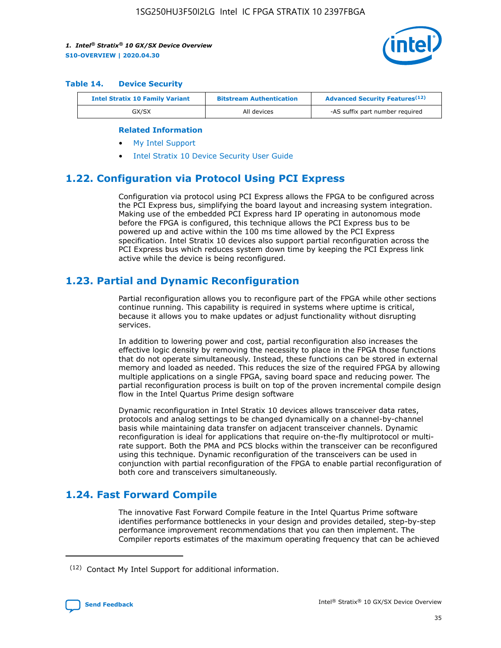

#### **Table 14. Device Security**

| <b>Intel Stratix 10 Family Variant</b> | <b>Bitstream Authentication</b> | <b>Advanced Security Features</b> <sup>(12)</sup> |
|----------------------------------------|---------------------------------|---------------------------------------------------|
| GX/SX                                  | All devices                     | -AS suffix part number required                   |

#### **Related Information**

- [My Intel Support](https://www.intel.com/content/www/us/en/programmable/my-intel/mal-home.html)
- [Intel Stratix 10 Device Security User Guide](https://www.intel.com/content/www/us/en/programmable/documentation/ndq1483601370898.html#wcd1483611014402)

## **1.22. Configuration via Protocol Using PCI Express**

Configuration via protocol using PCI Express allows the FPGA to be configured across the PCI Express bus, simplifying the board layout and increasing system integration. Making use of the embedded PCI Express hard IP operating in autonomous mode before the FPGA is configured, this technique allows the PCI Express bus to be powered up and active within the 100 ms time allowed by the PCI Express specification. Intel Stratix 10 devices also support partial reconfiguration across the PCI Express bus which reduces system down time by keeping the PCI Express link active while the device is being reconfigured.

## **1.23. Partial and Dynamic Reconfiguration**

Partial reconfiguration allows you to reconfigure part of the FPGA while other sections continue running. This capability is required in systems where uptime is critical, because it allows you to make updates or adjust functionality without disrupting services.

In addition to lowering power and cost, partial reconfiguration also increases the effective logic density by removing the necessity to place in the FPGA those functions that do not operate simultaneously. Instead, these functions can be stored in external memory and loaded as needed. This reduces the size of the required FPGA by allowing multiple applications on a single FPGA, saving board space and reducing power. The partial reconfiguration process is built on top of the proven incremental compile design flow in the Intel Quartus Prime design software

Dynamic reconfiguration in Intel Stratix 10 devices allows transceiver data rates, protocols and analog settings to be changed dynamically on a channel-by-channel basis while maintaining data transfer on adjacent transceiver channels. Dynamic reconfiguration is ideal for applications that require on-the-fly multiprotocol or multirate support. Both the PMA and PCS blocks within the transceiver can be reconfigured using this technique. Dynamic reconfiguration of the transceivers can be used in conjunction with partial reconfiguration of the FPGA to enable partial reconfiguration of both core and transceivers simultaneously.

## **1.24. Fast Forward Compile**

The innovative Fast Forward Compile feature in the Intel Quartus Prime software identifies performance bottlenecks in your design and provides detailed, step-by-step performance improvement recommendations that you can then implement. The Compiler reports estimates of the maximum operating frequency that can be achieved

<sup>(12)</sup> Contact My Intel Support for additional information.

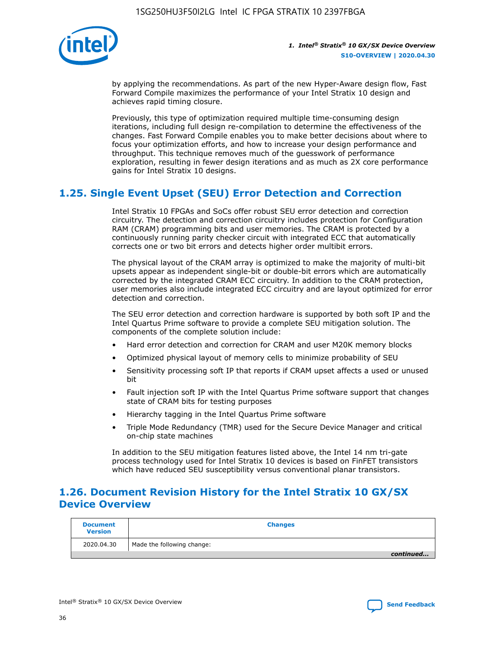

by applying the recommendations. As part of the new Hyper-Aware design flow, Fast Forward Compile maximizes the performance of your Intel Stratix 10 design and achieves rapid timing closure.

Previously, this type of optimization required multiple time-consuming design iterations, including full design re-compilation to determine the effectiveness of the changes. Fast Forward Compile enables you to make better decisions about where to focus your optimization efforts, and how to increase your design performance and throughput. This technique removes much of the guesswork of performance exploration, resulting in fewer design iterations and as much as 2X core performance gains for Intel Stratix 10 designs.

## **1.25. Single Event Upset (SEU) Error Detection and Correction**

Intel Stratix 10 FPGAs and SoCs offer robust SEU error detection and correction circuitry. The detection and correction circuitry includes protection for Configuration RAM (CRAM) programming bits and user memories. The CRAM is protected by a continuously running parity checker circuit with integrated ECC that automatically corrects one or two bit errors and detects higher order multibit errors.

The physical layout of the CRAM array is optimized to make the majority of multi-bit upsets appear as independent single-bit or double-bit errors which are automatically corrected by the integrated CRAM ECC circuitry. In addition to the CRAM protection, user memories also include integrated ECC circuitry and are layout optimized for error detection and correction.

The SEU error detection and correction hardware is supported by both soft IP and the Intel Quartus Prime software to provide a complete SEU mitigation solution. The components of the complete solution include:

- Hard error detection and correction for CRAM and user M20K memory blocks
- Optimized physical layout of memory cells to minimize probability of SEU
- Sensitivity processing soft IP that reports if CRAM upset affects a used or unused bit
- Fault injection soft IP with the Intel Quartus Prime software support that changes state of CRAM bits for testing purposes
- Hierarchy tagging in the Intel Quartus Prime software
- Triple Mode Redundancy (TMR) used for the Secure Device Manager and critical on-chip state machines

In addition to the SEU mitigation features listed above, the Intel 14 nm tri-gate process technology used for Intel Stratix 10 devices is based on FinFET transistors which have reduced SEU susceptibility versus conventional planar transistors.

## **1.26. Document Revision History for the Intel Stratix 10 GX/SX Device Overview**

| <b>Document</b><br><b>Version</b> | <b>Changes</b>             |
|-----------------------------------|----------------------------|
| 2020.04.30                        | Made the following change: |
|                                   | continued                  |

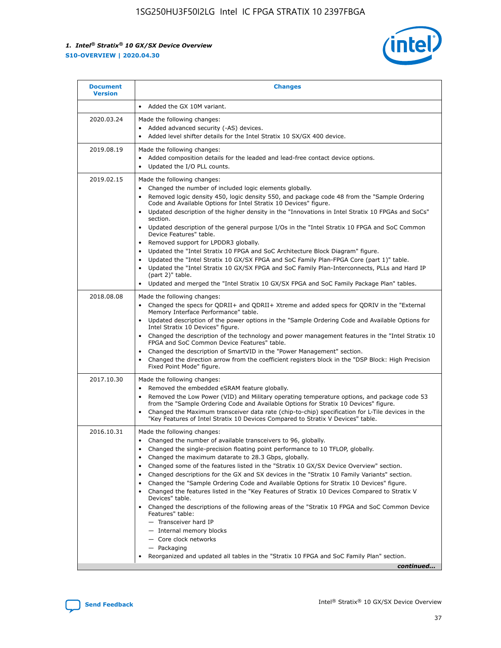

|            | Added the GX 10M variant.                                                                                                                                                                                                                                                                                                                                                                                                                                                                                                                                                                                                                                                                                                                                                                                                                                                                                                                                                                      |
|------------|------------------------------------------------------------------------------------------------------------------------------------------------------------------------------------------------------------------------------------------------------------------------------------------------------------------------------------------------------------------------------------------------------------------------------------------------------------------------------------------------------------------------------------------------------------------------------------------------------------------------------------------------------------------------------------------------------------------------------------------------------------------------------------------------------------------------------------------------------------------------------------------------------------------------------------------------------------------------------------------------|
| 2020.03.24 | Made the following changes:<br>Added advanced security (-AS) devices.<br>Added level shifter details for the Intel Stratix 10 SX/GX 400 device.                                                                                                                                                                                                                                                                                                                                                                                                                                                                                                                                                                                                                                                                                                                                                                                                                                                |
| 2019.08.19 | Made the following changes:<br>Added composition details for the leaded and lead-free contact device options.<br>Updated the I/O PLL counts.                                                                                                                                                                                                                                                                                                                                                                                                                                                                                                                                                                                                                                                                                                                                                                                                                                                   |
| 2019.02.15 | Made the following changes:<br>Changed the number of included logic elements globally.<br>Removed logic density 450, logic density 550, and package code 48 from the "Sample Ordering<br>$\bullet$<br>Code and Available Options for Intel Stratix 10 Devices" figure.<br>Updated description of the higher density in the "Innovations in Intel Stratix 10 FPGAs and SoCs"<br>section.<br>Updated description of the general purpose I/Os in the "Intel Stratix 10 FPGA and SoC Common<br>$\bullet$<br>Device Features" table.<br>Removed support for LPDDR3 globally.<br>Updated the "Intel Stratix 10 FPGA and SoC Architecture Block Diagram" figure.<br>$\bullet$<br>Updated the "Intel Stratix 10 GX/SX FPGA and SoC Family Plan-FPGA Core (part 1)" table.<br>$\bullet$<br>Updated the "Intel Stratix 10 GX/SX FPGA and SoC Family Plan-Interconnects, PLLs and Hard IP<br>(part 2)" table.<br>Updated and merged the "Intel Stratix 10 GX/SX FPGA and SoC Family Package Plan" tables. |
| 2018.08.08 | Made the following changes:<br>Changed the specs for QDRII+ and QDRII+ Xtreme and added specs for QDRIV in the "External<br>$\bullet$<br>Memory Interface Performance" table.<br>Updated description of the power options in the "Sample Ordering Code and Available Options for<br>Intel Stratix 10 Devices" figure.<br>Changed the description of the technology and power management features in the "Intel Stratix 10<br>FPGA and SoC Common Device Features" table.<br>Changed the description of SmartVID in the "Power Management" section.<br>Changed the direction arrow from the coefficient registers block in the "DSP Block: High Precision<br>Fixed Point Mode" figure.                                                                                                                                                                                                                                                                                                          |
| 2017.10.30 | Made the following changes:<br>Removed the embedded eSRAM feature globally.<br>$\bullet$<br>Removed the Low Power (VID) and Military operating temperature options, and package code 53<br>from the "Sample Ordering Code and Available Options for Stratix 10 Devices" figure.<br>Changed the Maximum transceiver data rate (chip-to-chip) specification for L-Tile devices in the<br>"Key Features of Intel Stratix 10 Devices Compared to Stratix V Devices" table.                                                                                                                                                                                                                                                                                                                                                                                                                                                                                                                         |
| 2016.10.31 | Made the following changes:<br>• Changed the number of available transceivers to 96, globally.<br>Changed the single-precision floating point performance to 10 TFLOP, globally.<br>Changed the maximum datarate to 28.3 Gbps, globally.<br>Changed some of the features listed in the "Stratix 10 GX/SX Device Overview" section.<br>$\bullet$<br>Changed descriptions for the GX and SX devices in the "Stratix 10 Family Variants" section.<br>$\bullet$<br>Changed the "Sample Ordering Code and Available Options for Stratix 10 Devices" figure.<br>Changed the features listed in the "Key Features of Stratix 10 Devices Compared to Stratix V<br>Devices" table.<br>Changed the descriptions of the following areas of the "Stratix 10 FPGA and SoC Common Device<br>Features" table:<br>- Transceiver hard IP<br>- Internal memory blocks<br>- Core clock networks<br>- Packaging<br>Reorganized and updated all tables in the "Stratix 10 FPGA and SoC Family Plan" section.        |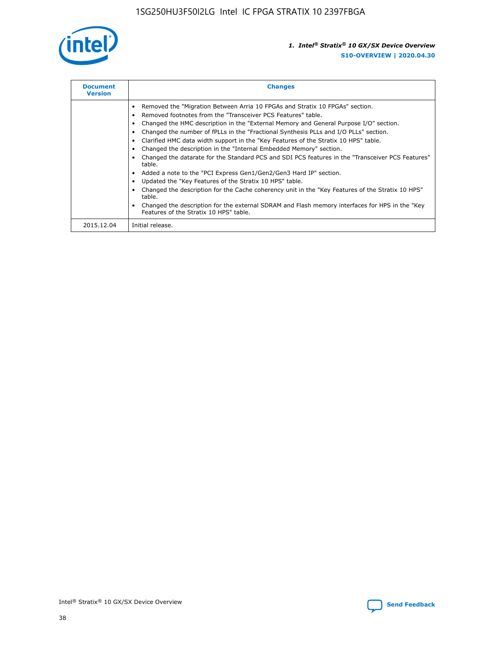

| <b>Document</b><br><b>Version</b> | <b>Changes</b>                                                                                                                                                                                                                                                                                                                                                                                                                                                                                                                                                                                                                                                                                                                                                                                                                                                                                                                                                                                     |
|-----------------------------------|----------------------------------------------------------------------------------------------------------------------------------------------------------------------------------------------------------------------------------------------------------------------------------------------------------------------------------------------------------------------------------------------------------------------------------------------------------------------------------------------------------------------------------------------------------------------------------------------------------------------------------------------------------------------------------------------------------------------------------------------------------------------------------------------------------------------------------------------------------------------------------------------------------------------------------------------------------------------------------------------------|
|                                   | Removed the "Migration Between Arria 10 FPGAs and Stratix 10 FPGAs" section.<br>Removed footnotes from the "Transceiver PCS Features" table.<br>Changed the HMC description in the "External Memory and General Purpose I/O" section.<br>Changed the number of fPLLs in the "Fractional Synthesis PLLs and I/O PLLs" section.<br>Clarified HMC data width support in the "Key Features of the Stratix 10 HPS" table.<br>Changed the description in the "Internal Embedded Memory" section.<br>Changed the datarate for the Standard PCS and SDI PCS features in the "Transceiver PCS Features"<br>table.<br>Added a note to the "PCI Express Gen1/Gen2/Gen3 Hard IP" section.<br>Updated the "Key Features of the Stratix 10 HPS" table.<br>Changed the description for the Cache coherency unit in the "Key Features of the Stratix 10 HPS"<br>table.<br>Changed the description for the external SDRAM and Flash memory interfaces for HPS in the "Key<br>Features of the Stratix 10 HPS" table. |
| 2015.12.04                        | Initial release.                                                                                                                                                                                                                                                                                                                                                                                                                                                                                                                                                                                                                                                                                                                                                                                                                                                                                                                                                                                   |